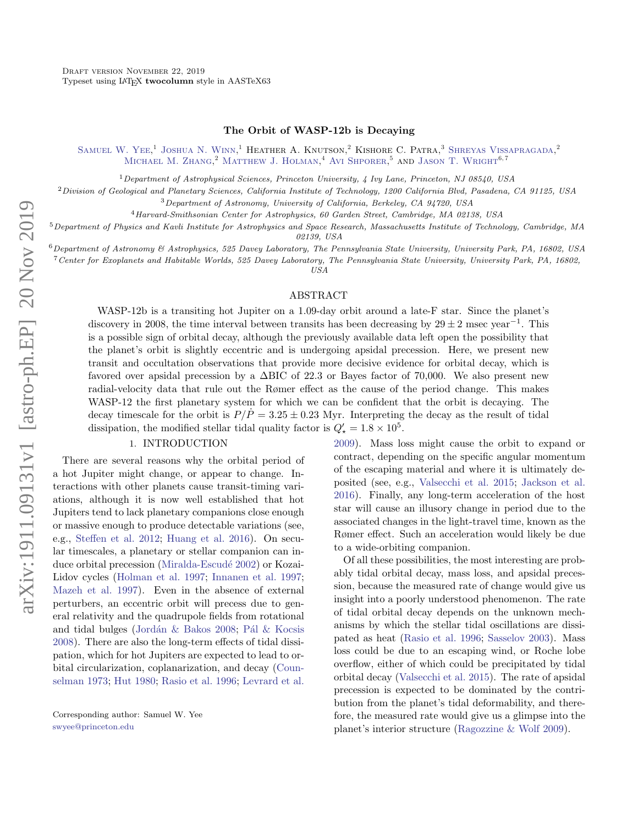# The Orbit of WASP-12b is Decaying

SAMUEL W. YEE,<sup>1</sup> JOSHUA N. WINN,<sup>1</sup> HEATHER A. KNUTSON,<sup>2</sup> KISHORE C. PATRA,<sup>3</sup> SHREYAS VISSAPRAGADA,<sup>2</sup> MICHAEL M. ZHANG.<sup>2</sup> MATTHEW J. HOLMAN.<sup>4</sup> AVI SHPORER.<sup>5</sup> AND JASON T. WRIGHT<sup>6,7</sup>

<sup>1</sup>Department of Astrophysical Sciences, Princeton University,  $\frac{1}{4}$  Ivy Lane, Princeton, NJ 08540, USA

<sup>2</sup>Division of Geological and Planetary Sciences, California Institute of Technology, 1200 California Blvd, Pasadena, CA 91125, USA

<sup>3</sup>Department of Astronomy, University of California, Berkeley, CA 94720, USA

<sup>4</sup>Harvard-Smithsonian Center for Astrophysics, 60 Garden Street, Cambridge, MA 02138, USA

 $5$ Department of Physics and Kavli Institute for Astrophysics and Space Research, Massachusetts Institute of Technology, Cambridge, MA

02139, USA

 $6$ Department of Astronomy  $6'$  Astrophysics, 525 Davey Laboratory, The Pennsylvania State University, University Park, PA, 16802, USA

<sup>7</sup>Center for Exoplanets and Habitable Worlds, 525 Davey Laboratory, The Pennsylvania State University, University Park, PA, 16802,

USA

#### ABSTRACT

WASP-12b is a transiting hot Jupiter on a 1.09-day orbit around a late-F star. Since the planet's discovery in 2008, the time interval between transits has been decreasing by  $29 \pm 2$  msec year<sup>-1</sup>. This is a possible sign of orbital decay, although the previously available data left open the possibility that the planet's orbit is slightly eccentric and is undergoing apsidal precession. Here, we present new transit and occultation observations that provide more decisive evidence for orbital decay, which is favored over apsidal precession by a ∆BIC of 22.3 or Bayes factor of 70,000. We also present new radial-velocity data that rule out the Rømer effect as the cause of the period change. This makes WASP-12 the first planetary system for which we can be confident that the orbit is decaying. The decay timescale for the orbit is  $P/P = 3.25 \pm 0.23$  Myr. Interpreting the decay as the result of tidal dissipation, the modified stellar tidal quality factor is  $Q'_{\star} = 1.8 \times 10^5$ .

### 1. INTRODUCTION

There are several reasons why the orbital period of a hot Jupiter might change, or appear to change. Interactions with other planets cause transit-timing variations, although it is now well established that hot Jupiters tend to lack planetary companions close enough or massive enough to produce detectable variations (see, e.g., [Steffen et al.](#page-15-0) [2012;](#page-15-0) [Huang et al.](#page-14-0) [2016\)](#page-14-0). On secular timescales, a planetary or stellar companion can in-duce orbital precession (Miralda-Escudé [2002\)](#page-14-1) or Kozai-Lidov cycles [\(Holman et al.](#page-13-0) [1997;](#page-13-0) [Innanen et al.](#page-14-2) [1997;](#page-14-2) [Mazeh et al.](#page-14-3) [1997\)](#page-14-3). Even in the absence of external perturbers, an eccentric orbit will precess due to general relativity and the quadrupole fields from rotational and tidal bulges (Jordán  $\&$  Bakos [2008;](#page-14-4) Pál  $\&$  Kocsis [2008\)](#page-14-5). There are also the long-term effects of tidal dissipation, which for hot Jupiters are expected to lead to orbital circularization, coplanarization, and decay [\(Coun](#page-13-1)[selman](#page-13-1) [1973;](#page-13-1) [Hut](#page-14-6) [1980;](#page-14-6) [Rasio et al.](#page-14-7) [1996;](#page-14-7) [Levrard et al.](#page-14-8)

[2009\)](#page-14-8). Mass loss might cause the orbit to expand or contract, depending on the specific angular momentum of the escaping material and where it is ultimately deposited (see, e.g., [Valsecchi et al.](#page-15-1) [2015;](#page-15-1) [Jackson et al.](#page-14-9) [2016\)](#page-14-9). Finally, any long-term acceleration of the host star will cause an illusory change in period due to the associated changes in the light-travel time, known as the Rømer effect. Such an acceleration would likely be due to a wide-orbiting companion.

Of all these possibilities, the most interesting are probably tidal orbital decay, mass loss, and apsidal precession, because the measured rate of change would give us insight into a poorly understood phenomenon. The rate of tidal orbital decay depends on the unknown mechanisms by which the stellar tidal oscillations are dissipated as heat [\(Rasio et al.](#page-14-7) [1996;](#page-14-7) [Sasselov](#page-15-2) [2003\)](#page-15-2). Mass loss could be due to an escaping wind, or Roche lobe overflow, either of which could be precipitated by tidal orbital decay [\(Valsecchi et al.](#page-15-1) [2015\)](#page-15-1). The rate of apsidal precession is expected to be dominated by the contribution from the planet's tidal deformability, and therefore, the measured rate would give us a glimpse into the planet's interior structure [\(Ragozzine & Wolf](#page-14-10) [2009\)](#page-14-10).

Corresponding author: Samuel W. Yee [swyee@princeton.edu](mailto: swyee@princeton.edu)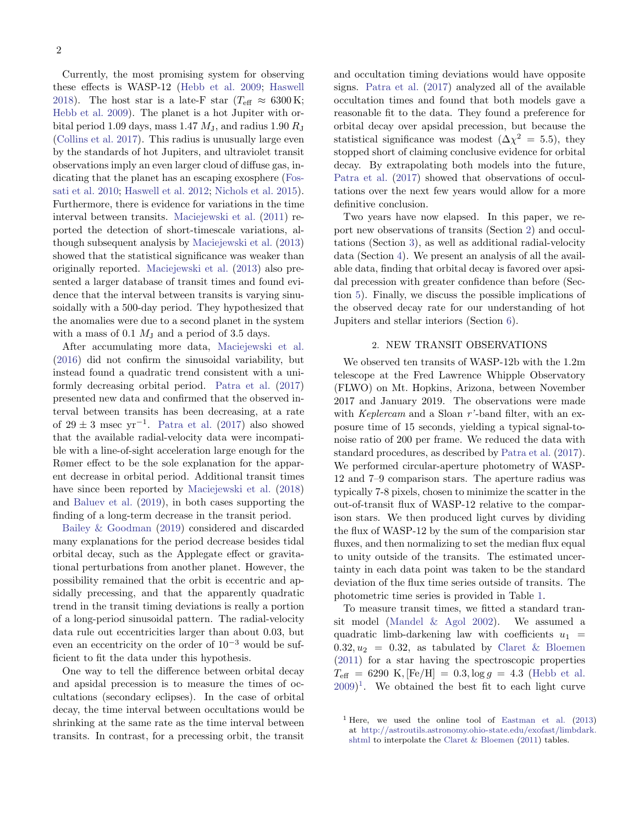Currently, the most promising system for observing these effects is WASP-12 [\(Hebb et al.](#page-13-2) [2009;](#page-13-2) [Haswell](#page-13-3) [2018\)](#page-13-3). The host star is a late-F star ( $T_{\text{eff}} \approx 6300 \text{ K}$ ; [Hebb et al.](#page-13-2) [2009\)](#page-13-2). The planet is a hot Jupiter with orbital period 1.09 days, mass 1.47  $M_{\rm J}$ , and radius 1.90  $R_{\rm J}$ [\(Collins et al.](#page-13-4) [2017\)](#page-13-4). This radius is unusually large even by the standards of hot Jupiters, and ultraviolet transit observations imply an even larger cloud of diffuse gas, indicating that the planet has an escaping exosphere [\(Fos](#page-13-5)[sati et al.](#page-13-5) [2010;](#page-13-5) [Haswell et al.](#page-13-6) [2012;](#page-13-6) [Nichols et al.](#page-14-11) [2015\)](#page-14-11). Furthermore, there is evidence for variations in the time interval between transits. [Maciejewski et al.](#page-14-12) [\(2011\)](#page-14-12) reported the detection of short-timescale variations, although subsequent analysis by [Maciejewski et al.](#page-14-13) [\(2013\)](#page-14-13) showed that the statistical significance was weaker than originally reported. [Maciejewski et al.](#page-14-13) [\(2013\)](#page-14-13) also presented a larger database of transit times and found evidence that the interval between transits is varying sinusoidally with a 500-day period. They hypothesized that the anomalies were due to a second planet in the system with a mass of 0.1  $M<sub>J</sub>$  and a period of 3.5 days.

After accumulating more data, [Maciejewski et al.](#page-14-14) [\(2016\)](#page-14-14) did not confirm the sinusoidal variability, but instead found a quadratic trend consistent with a uniformly decreasing orbital period. [Patra et al.](#page-14-15) [\(2017\)](#page-14-15) presented new data and confirmed that the observed interval between transits has been decreasing, at a rate of  $29 \pm 3$  msec yr<sup>-1</sup>. [Patra et al.](#page-14-15) [\(2017\)](#page-14-15) also showed that the available radial-velocity data were incompatible with a line-of-sight acceleration large enough for the Rømer effect to be the sole explanation for the apparent decrease in orbital period. Additional transit times have since been reported by [Maciejewski et al.](#page-14-16) [\(2018\)](#page-14-16) and [Baluev et al.](#page-13-7) [\(2019\)](#page-13-7), in both cases supporting the finding of a long-term decrease in the transit period.

[Bailey & Goodman](#page-13-8) [\(2019\)](#page-13-8) considered and discarded many explanations for the period decrease besides tidal orbital decay, such as the Applegate effect or gravitational perturbations from another planet. However, the possibility remained that the orbit is eccentric and apsidally precessing, and that the apparently quadratic trend in the transit timing deviations is really a portion of a long-period sinusoidal pattern. The radial-velocity data rule out eccentricities larger than about 0.03, but even an eccentricity on the order of  $10^{-3}$  would be sufficient to fit the data under this hypothesis.

One way to tell the difference between orbital decay and apsidal precession is to measure the times of occultations (secondary eclipses). In the case of orbital decay, the time interval between occultations would be shrinking at the same rate as the time interval between transits. In contrast, for a precessing orbit, the transit

and occultation timing deviations would have opposite signs. [Patra et al.](#page-14-15) [\(2017\)](#page-14-15) analyzed all of the available occultation times and found that both models gave a reasonable fit to the data. They found a preference for orbital decay over apsidal precession, but because the statistical significance was modest  $(\Delta \chi^2 = 5.5)$ , they stopped short of claiming conclusive evidence for orbital decay. By extrapolating both models into the future, [Patra et al.](#page-14-15) [\(2017\)](#page-14-15) showed that observations of occultations over the next few years would allow for a more definitive conclusion.

Two years have now elapsed. In this paper, we report new observations of transits (Section [2\)](#page-1-0) and occultations (Section [3\)](#page-2-0), as well as additional radial-velocity data (Section [4\)](#page-5-0). We present an analysis of all the available data, finding that orbital decay is favored over apsidal precession with greater confidence than before (Section [5\)](#page-5-1). Finally, we discuss the possible implications of the observed decay rate for our understanding of hot Jupiters and stellar interiors (Section [6\)](#page-9-0).

# 2. NEW TRANSIT OBSERVATIONS

<span id="page-1-0"></span>We observed ten transits of WASP-12b with the 1.2m telescope at the Fred Lawrence Whipple Observatory (FLWO) on Mt. Hopkins, Arizona, between November 2017 and January 2019. The observations were made with Keplercam and a Sloan  $r'$ -band filter, with an exposure time of 15 seconds, yielding a typical signal-tonoise ratio of 200 per frame. We reduced the data with standard procedures, as described by [Patra et al.](#page-14-15) [\(2017\)](#page-14-15). We performed circular-aperture photometry of WASP-12 and 7–9 comparison stars. The aperture radius was typically 7-8 pixels, chosen to minimize the scatter in the out-of-transit flux of WASP-12 relative to the comparison stars. We then produced light curves by dividing the flux of WASP-12 by the sum of the comparision star fluxes, and then normalizing to set the median flux equal to unity outside of the transits. The estimated uncertainty in each data point was taken to be the standard deviation of the flux time series outside of transits. The photometric time series is provided in Table [1.](#page-2-1)

To measure transit times, we fitted a standard transit model [\(Mandel & Agol](#page-14-17) [2002\)](#page-14-17). We assumed a quadratic limb-darkening law with coefficients  $u_1$  =  $0.32, u_2 = 0.32$ , as tabulated by [Claret & Bloemen](#page-13-9) [\(2011\)](#page-13-9) for a star having the spectroscopic properties  $T_{\text{eff}} = 6290 \text{ K}, \text{[Fe/H]} = 0.3, \log g = 4.3 \text{ (Hebb et al.)}$  $T_{\text{eff}} = 6290 \text{ K}, \text{[Fe/H]} = 0.3, \log g = 4.3 \text{ (Hebb et al.)}$  $T_{\text{eff}} = 6290 \text{ K}, \text{[Fe/H]} = 0.3, \log g = 4.3 \text{ (Hebb et al.)}$  $(2009)^1$  $(2009)^1$  $(2009)^1$  $(2009)^1$ . We obtained the best fit to each light curve

<span id="page-1-1"></span><sup>&</sup>lt;sup>1</sup> Here, we used the online tool of [Eastman et al.](#page-13-10)  $(2013)$ at [http://astroutils.astronomy.ohio-state.edu/exofast/limbdark.](http://astroutils.astronomy.ohio-state.edu/exofast/limbdark.shtml) [shtml](http://astroutils.astronomy.ohio-state.edu/exofast/limbdark.shtml) to interpolate the [Claret & Bloemen](#page-13-9) [\(2011\)](#page-13-9) tables.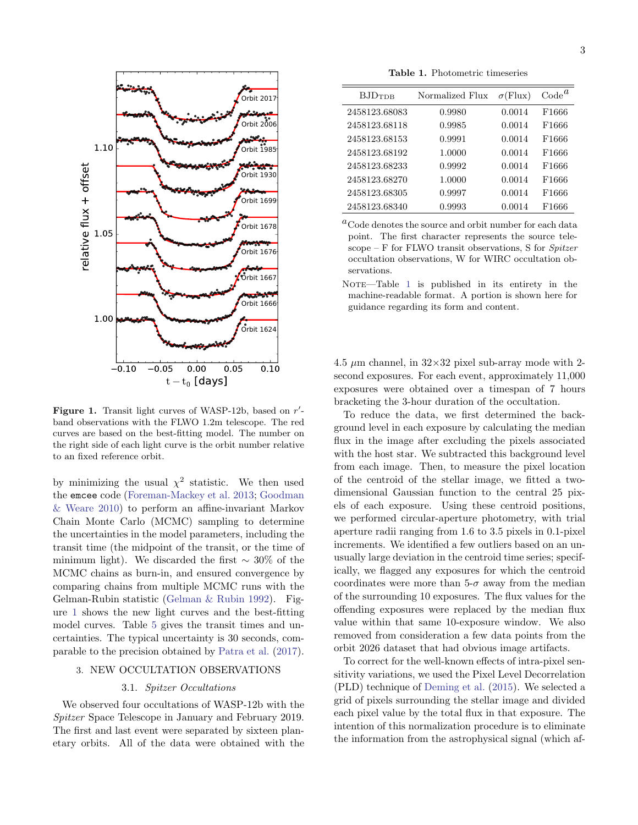

<span id="page-2-2"></span>Figure 1. Transit light curves of WASP-12b, based on  $r'$ band observations with the FLWO 1.2m telescope. The red curves are based on the best-fitting model. The number on the right side of each light curve is the orbit number relative to an fixed reference orbit.

by minimizing the usual  $\chi^2$  statistic. We then used the emcee code [\(Foreman-Mackey et al.](#page-13-11) [2013;](#page-13-11) [Goodman](#page-13-12) [& Weare](#page-13-12) [2010\)](#page-13-12) to perform an affine-invariant Markov Chain Monte Carlo (MCMC) sampling to determine the uncertainties in the model parameters, including the transit time (the midpoint of the transit, or the time of minimum light). We discarded the first  $\sim 30\%$  of the MCMC chains as burn-in, and ensured convergence by comparing chains from multiple MCMC runs with the Gelman-Rubin statistic [\(Gelman & Rubin](#page-13-13) [1992\)](#page-13-13). Figure [1](#page-2-2) shows the new light curves and the best-fitting model curves. Table [5](#page-6-0) gives the transit times and uncertainties. The typical uncertainty is 30 seconds, comparable to the precision obtained by [Patra et al.](#page-14-15) [\(2017\)](#page-14-15).

# <span id="page-2-0"></span>3. NEW OCCULTATION OBSERVATIONS

## 3.1. Spitzer Occultations

We observed four occultations of WASP-12b with the Spitzer Space Telescope in January and February 2019. The first and last event were separated by sixteen planetary orbits. All of the data were obtained with the

<span id="page-2-1"></span>Table 1. Photometric timeseries

| $BJD_{\rm TDR}$ | Normalized Flux | $\sigma$ (Flux) | $\text{Code}^{\mathfrak{a}}$ |
|-----------------|-----------------|-----------------|------------------------------|
| 2458123.68083   | 0.9980          | 0.0014          | F1666                        |
| 2458123.68118   | 0.9985          | 0.0014          | F1666                        |
| 2458123.68153   | 0.9991          | 0.0014          | F1666                        |
| 2458123.68192   | 1.0000          | 0.0014          | F1666                        |
| 2458123.68233   | 0.9992          | 0.0014          | F1666                        |
| 2458123.68270   | 1.0000          | 0.0014          | F1666                        |
| 2458123.68305   | 0.9997          | 0.0014          | F1666                        |
| 2458123.68340   | 0.9993          | 0.0014          | F1666                        |

 ${}^a$ Code denotes the source and orbit number for each data point. The first character represents the source telescope – F for FLWO transit observations, S for Spitzer occultation observations, W for WIRC occultation observations.

 $NOTE$ —Table [1](#page-2-1) is published in its entirety in the machine-readable format. A portion is shown here for guidance regarding its form and content.

4.5  $\mu$ m channel, in 32×32 pixel sub-array mode with 2second exposures. For each event, approximately 11,000 exposures were obtained over a timespan of 7 hours bracketing the 3-hour duration of the occultation.

To reduce the data, we first determined the background level in each exposure by calculating the median flux in the image after excluding the pixels associated with the host star. We subtracted this background level from each image. Then, to measure the pixel location of the centroid of the stellar image, we fitted a twodimensional Gaussian function to the central 25 pixels of each exposure. Using these centroid positions, we performed circular-aperture photometry, with trial aperture radii ranging from 1.6 to 3.5 pixels in 0.1-pixel increments. We identified a few outliers based on an unusually large deviation in the centroid time series; specifically, we flagged any exposures for which the centroid coordinates were more than  $5-\sigma$  away from the median of the surrounding 10 exposures. The flux values for the offending exposures were replaced by the median flux value within that same 10-exposure window. We also removed from consideration a few data points from the orbit 2026 dataset that had obvious image artifacts.

To correct for the well-known effects of intra-pixel sensitivity variations, we used the Pixel Level Decorrelation (PLD) technique of [Deming et al.](#page-13-14) [\(2015\)](#page-13-14). We selected a grid of pixels surrounding the stellar image and divided each pixel value by the total flux in that exposure. The intention of this normalization procedure is to eliminate the information from the astrophysical signal (which af-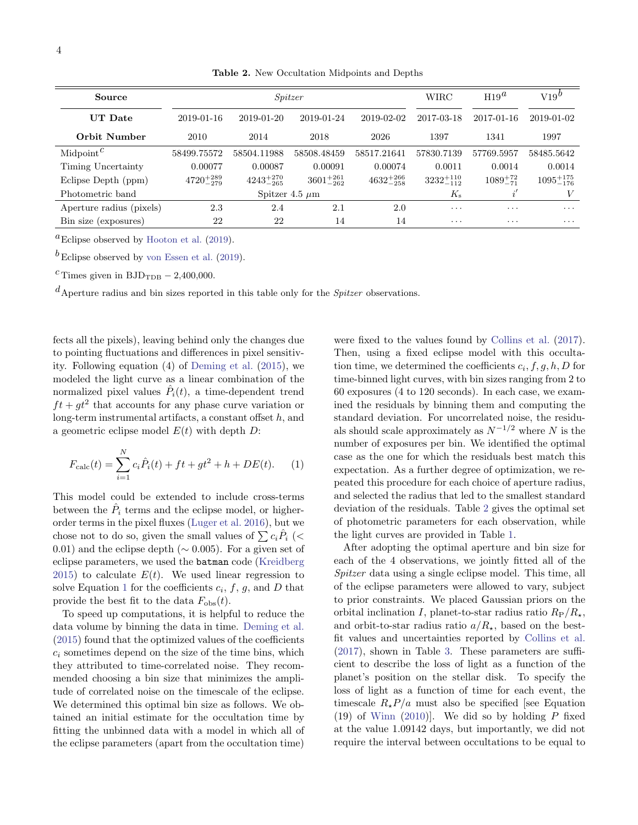<span id="page-3-1"></span>Table 2. New Occultation Midpoints and Depths

| Source                             | Spitzer              |                      |                      |                      | WIRC                 | $H19^{\alpha}$     | $V19^{\prime\prime}$ |
|------------------------------------|----------------------|----------------------|----------------------|----------------------|----------------------|--------------------|----------------------|
| <b>UT</b> Date                     | 2019-01-16           | 2019-01-20           | 2019-01-24           | 2019-02-02           | 2017-03-18           | 2017-01-16         | 2019-01-02           |
| <b>Orbit Number</b>                | 2010                 | 2014                 | 2018                 | 2026                 | 1397                 | 1341               | 1997                 |
| Midpoint <sup><math>c</math></sup> | 58499.75572          | 58504.11988          | 58508.48459          | 58517.21641          | 57830.7139           | 57769.5957         | 58485.5642           |
| Timing Uncertainty                 | 0.00077              | 0.00087              | 0.00091              | 0.00074              | 0.0011               | 0.0014             | 0.0014               |
| Eclipse Depth (ppm)                | $4720^{+289}_{-279}$ | $4243^{+270}_{-265}$ | $3601^{+261}_{-262}$ | $4632^{+266}_{-258}$ | $3232^{+110}_{-112}$ | $1089^{+72}_{-71}$ | $1095^{+175}_{-176}$ |
| Photometric band                   |                      | Spitzer 4.5 $\mu$ m  |                      |                      | $K_{\rm s}$          |                    | V                    |
| Aperture radius (pixels)           | 2.3                  | 2.4                  | $2.1\,$              | 2.0                  | $\cdot$              | $\cdots$           | $\cdots$             |
| Bin size (exposures)               | 22                   | 22                   | 14                   | 14                   | $\cdots$             | $\cdots$           | $\cdots$             |

<sup>a</sup>Eclipse observed by [Hooton et al.](#page-13-15)  $(2019)$ .

 $b$  Eclipse observed by [von Essen et al.](#page-15-3) [\(2019\)](#page-15-3).

<sup>c</sup> Times given in BJD<sub>TDB</sub>  $- 2,400,000$ .

 $dA$  Aperture radius and bin sizes reported in this table only for the *Spitzer* observations.

fects all the pixels), leaving behind only the changes due to pointing fluctuations and differences in pixel sensitivity. Following equation (4) of [Deming et al.](#page-13-14) [\(2015\)](#page-13-14), we modeled the light curve as a linear combination of the normalized pixel values  $\hat{P}_i(t)$ , a time-dependent trend  $ft + gt^2$  that accounts for any phase curve variation or long-term instrumental artifacts, a constant offset h, and a geometric eclipse model  $E(t)$  with depth D:

$$
F_{\text{calc}}(t) = \sum_{i=1}^{N} c_i \hat{P}_i(t) + ft + gt^2 + h + DE(t). \tag{1}
$$

This model could be extended to include cross-terms between the  $\hat{P}_i$  terms and the eclipse model, or higherorder terms in the pixel fluxes [\(Luger et al.](#page-14-18) [2016\)](#page-14-18), but we chose not to do so, given the small values of  $\sum c_i \hat{P}_i$  (< 0.01) and the eclipse depth ( $\sim$  0.005). For a given set of eclipse parameters, we used the batman code [\(Kreidberg](#page-14-19) [2015\)](#page-14-19) to calculate  $E(t)$ . We used linear regression to solve Equation [1](#page-3-0) for the coefficients  $c_i, f, g$ , and D that provide the best fit to the data  $F_{obs}(t)$ .

To speed up computations, it is helpful to reduce the data volume by binning the data in time. [Deming et al.](#page-13-14) [\(2015\)](#page-13-14) found that the optimized values of the coefficients  $c_i$  sometimes depend on the size of the time bins, which they attributed to time-correlated noise. They recommended choosing a bin size that minimizes the amplitude of correlated noise on the timescale of the eclipse. We determined this optimal bin size as follows. We obtained an initial estimate for the occultation time by fitting the unbinned data with a model in which all of the eclipse parameters (apart from the occultation time)

were fixed to the values found by [Collins et al.](#page-13-4) [\(2017\)](#page-13-4). Then, using a fixed eclipse model with this occultation time, we determined the coefficients  $c_i, f, g, h, D$  for time-binned light curves, with bin sizes ranging from 2 to 60 exposures (4 to 120 seconds). In each case, we examined the residuals by binning them and computing the standard deviation. For uncorrelated noise, the residuals should scale approximately as  $N^{-1/2}$  where N is the number of exposures per bin. We identified the optimal case as the one for which the residuals best match this expectation. As a further degree of optimization, we repeated this procedure for each choice of aperture radius, and selected the radius that led to the smallest standard deviation of the residuals. Table [2](#page-3-1) gives the optimal set of photometric parameters for each observation, while the light curves are provided in Table [1.](#page-2-1)

<span id="page-3-0"></span>After adopting the optimal aperture and bin size for each of the 4 observations, we jointly fitted all of the Spitzer data using a single eclipse model. This time, all of the eclipse parameters were allowed to vary, subject to prior constraints. We placed Gaussian priors on the orbital inclination I, planet-to-star radius ratio  $R_P/R_{\star}$ , and orbit-to-star radius ratio  $a/R_{\star}$ , based on the bestfit values and uncertainties reported by [Collins et al.](#page-13-4) [\(2017\)](#page-13-4), shown in Table [3.](#page-4-0) These parameters are sufficient to describe the loss of light as a function of the planet's position on the stellar disk. To specify the loss of light as a function of time for each event, the timescale  $R_{\star}P/a$  must also be specified [see Equation (19) of [Winn](#page-15-4)  $(2010)$ . We did so by holding P fixed at the value 1.09142 days, but importantly, we did not require the interval between occultations to be equal to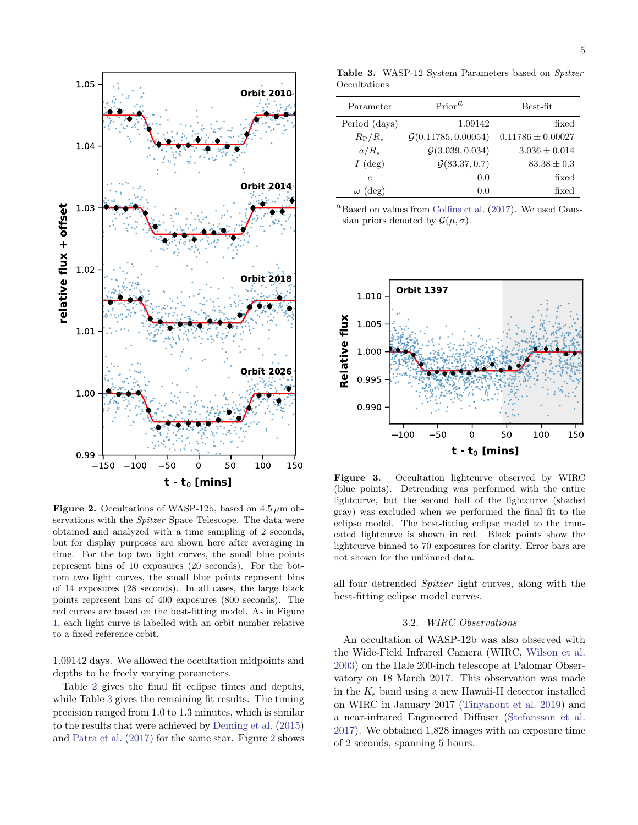

<span id="page-4-1"></span>Figure 2. Occultations of WASP-12b, based on  $4.5 \mu m$  observations with the *Spitzer* Space Telescope. The data were obtained and analyzed with a time sampling of 2 seconds, but for display purposes are shown here after averaging in time. For the top two light curves, the small blue points represent bins of 10 exposures (20 seconds). For the bottom two light curves, the small blue points represent bins of 14 exposures (28 seconds). In all cases, the large black points represent bins of 400 exposures (800 seconds). The red curves are based on the best-fitting model. As in Figure [1,](#page-2-2) each light curve is labelled with an orbit number relative to a fixed reference orbit.

1.09142 days. We allowed the occultation midpoints and depths to be freely varying parameters.

Table [2](#page-3-1) gives the final fit eclipse times and depths, while Table [3](#page-4-0) gives the remaining fit results. The timing precision ranged from 1.0 to 1.3 minutes, which is similar to the results that were achieved by [Deming et al.](#page-13-14) [\(2015\)](#page-13-14) and [Patra et al.](#page-14-15) [\(2017\)](#page-14-15) for the same star. Figure [2](#page-4-1) shows

<span id="page-4-0"></span>Table 3. WASP-12 System Parameters based on Spitzer Occultations

| Parameter             | $Prior^{\alpha}$                | Best-fit              |  |
|-----------------------|---------------------------------|-----------------------|--|
| Period (days)         | 1.09142                         | fixed                 |  |
| $R_{\rm P}/R_{\star}$ | $\mathcal{G}(0.11785, 0.00054)$ | $0.11786 \pm 0.00027$ |  |
| $a/R_{\star}$         | $\mathcal{G}(3.039, 0.034)$     | $3.036 \pm 0.014$     |  |
| $I$ (deg)             | $\mathcal{G}(83.37, 0.7)$       | $83.38 \pm 0.3$       |  |
| $\epsilon$            | 0.0                             | fixed                 |  |
| $\omega$ (deg)        | 0.0                             | fixed                 |  |

 ${}^{a}$ Based on values from [Collins et al.](#page-13-4) [\(2017\)](#page-13-4). We used Gaussian priors denoted by  $\mathcal{G}(\mu, \sigma)$ .



<span id="page-4-2"></span>Figure 3. Occultation lightcurve observed by WIRC (blue points). Detrending was performed with the entire lightcurve, but the second half of the lightcurve (shaded gray) was excluded when we performed the final fit to the eclipse model. The best-fitting eclipse model to the truncated lightcurve is shown in red. Black points show the lightcurve binned to 70 exposures for clarity. Error bars are not shown for the unbinned data.

all four detrended Spitzer light curves, along with the best-fitting eclipse model curves.

### 3.2. WIRC Observations

An occultation of WASP-12b was also observed with the Wide-Field Infrared Camera (WIRC, [Wilson et al.](#page-15-5) [2003\)](#page-15-5) on the Hale 200-inch telescope at Palomar Observatory on 18 March 2017. This observation was made in the  $K_s$  band using a new Hawaii-II detector installed on WIRC in January 2017 [\(Tinyanont et al.](#page-15-6) [2019\)](#page-15-6) and a near-infrared Engineered Diffuser [\(Stefansson et al.](#page-15-7) [2017\)](#page-15-7). We obtained 1,828 images with an exposure time of 2 seconds, spanning 5 hours.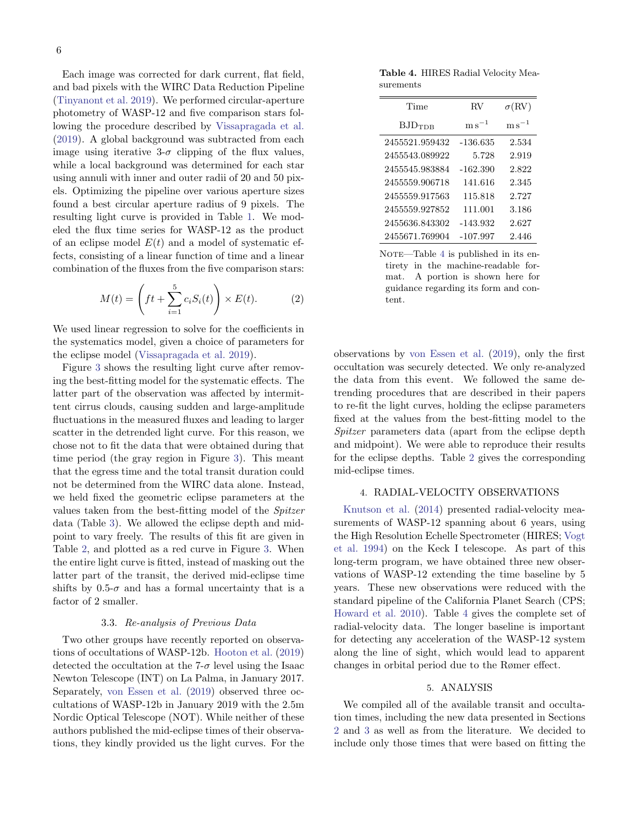Each image was corrected for dark current, flat field, and bad pixels with the WIRC Data Reduction Pipeline [\(Tinyanont et al.](#page-15-6) [2019\)](#page-15-6). We performed circular-aperture photometry of WASP-12 and five comparison stars following the procedure described by [Vissapragada et al.](#page-15-8) [\(2019\)](#page-15-8). A global background was subtracted from each image using iterative 3- $\sigma$  clipping of the flux values, while a local background was determined for each star using annuli with inner and outer radii of 20 and 50 pixels. Optimizing the pipeline over various aperture sizes found a best circular aperture radius of 9 pixels. The resulting light curve is provided in Table [1.](#page-2-1) We modeled the flux time series for WASP-12 as the product of an eclipse model  $E(t)$  and a model of systematic effects, consisting of a linear function of time and a linear combination of the fluxes from the five comparison stars:

$$
M(t) = \left( ft + \sum_{i=1}^{5} c_i S_i(t) \right) \times E(t). \tag{2}
$$

We used linear regression to solve for the coefficients in the systematics model, given a choice of parameters for the eclipse model [\(Vissapragada et al.](#page-15-8) [2019\)](#page-15-8).

Figure [3](#page-4-2) shows the resulting light curve after removing the best-fitting model for the systematic effects. The latter part of the observation was affected by intermittent cirrus clouds, causing sudden and large-amplitude fluctuations in the measured fluxes and leading to larger scatter in the detrended light curve. For this reason, we chose not to fit the data that were obtained during that time period (the gray region in Figure [3\)](#page-4-2). This meant that the egress time and the total transit duration could not be determined from the WIRC data alone. Instead, we held fixed the geometric eclipse parameters at the values taken from the best-fitting model of the Spitzer data (Table [3\)](#page-4-0). We allowed the eclipse depth and midpoint to vary freely. The results of this fit are given in Table [2,](#page-3-1) and plotted as a red curve in Figure [3.](#page-4-2) When the entire light curve is fitted, instead of masking out the latter part of the transit, the derived mid-eclipse time shifts by 0.5- $\sigma$  and has a formal uncertainty that is a factor of 2 smaller.

### 3.3. Re-analysis of Previous Data

Two other groups have recently reported on observations of occultations of WASP-12b. [Hooton et al.](#page-13-15) [\(2019\)](#page-13-15) detected the occultation at the  $7-\sigma$  level using the Isaac Newton Telescope (INT) on La Palma, in January 2017. Separately, [von Essen et al.](#page-15-3) [\(2019\)](#page-15-3) observed three occultations of WASP-12b in January 2019 with the 2.5m Nordic Optical Telescope (NOT). While neither of these authors published the mid-eclipse times of their observations, they kindly provided us the light curves. For the

<span id="page-5-2"></span>Table 4. HIRES Radial Velocity Measurements

| Time            | $\rm RV$             | $\sigma(\rm RV)$  |
|-----------------|----------------------|-------------------|
| $BJD_{\rm TDR}$ | $\mathrm{m\,s}^{-1}$ | ${\rm m\,s}^{-1}$ |
| 2455521.959432  | -136.635             | 2.534             |
| 2455543.089922  | 5.728                | 2.919             |
| 2455545.983884  | $-162.390$           | 2.822             |
| 2455559.906718  | 141.616              | 2.345             |
| 2455559.917563  | 115.818              | 2.727             |
| 2455559.927852  | 111.001              | 3.186             |
| 2455636.843302  | $-143.932$           | 2.627             |
| 2455671.769904  | $-107.997$           | 2.446             |

NOTE—Table [4](#page-5-2) is published in its entirety in the machine-readable format. A portion is shown here for guidance regarding its form and content.

observations by [von Essen et al.](#page-15-3) [\(2019\)](#page-15-3), only the first occultation was securely detected. We only re-analyzed the data from this event. We followed the same detrending procedures that are described in their papers to re-fit the light curves, holding the eclipse parameters fixed at the values from the best-fitting model to the Spitzer parameters data (apart from the eclipse depth and midpoint). We were able to reproduce their results for the eclipse depths. Table [2](#page-3-1) gives the corresponding mid-eclipse times.

# 4. RADIAL-VELOCITY OBSERVATIONS

<span id="page-5-0"></span>[Knutson et al.](#page-14-20) [\(2014\)](#page-14-20) presented radial-velocity measurements of WASP-12 spanning about 6 years, using the High Resolution Echelle Spectrometer (HIRES; [Vogt](#page-15-9) [et al.](#page-15-9) [1994\)](#page-15-9) on the Keck I telescope. As part of this long-term program, we have obtained three new observations of WASP-12 extending the time baseline by 5 years. These new observations were reduced with the standard pipeline of the California Planet Search (CPS; [Howard et al.](#page-14-21) [2010\)](#page-14-21). Table [4](#page-5-2) gives the complete set of radial-velocity data. The longer baseline is important for detecting any acceleration of the WASP-12 system along the line of sight, which would lead to apparent changes in orbital period due to the Rømer effect.

#### 5. ANALYSIS

<span id="page-5-1"></span>We compiled all of the available transit and occultation times, including the new data presented in Sections [2](#page-1-0) and [3](#page-2-0) as well as from the literature. We decided to include only those times that were based on fitting the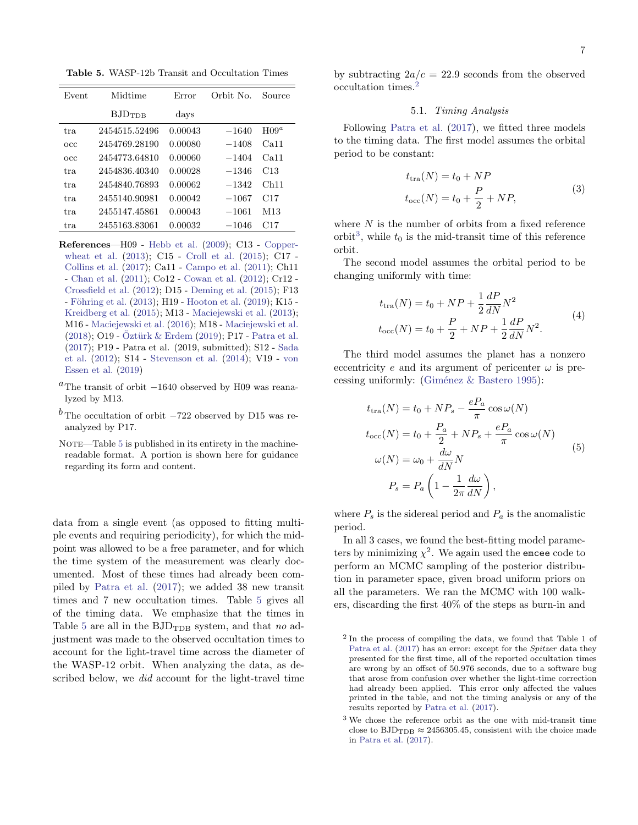<span id="page-6-0"></span>Table 5. WASP-12b Transit and Occultation Times

| Event | Midtime            | Error   | Orbit No. | Source     |
|-------|--------------------|---------|-----------|------------|
|       | BJD <sub>TDR</sub> | days    |           |            |
| tra.  | 2454515.52496      | 0.00043 | $-1640$   | $H^{0.9a}$ |
| occ   | 2454769.28190      | 0.00080 | $-1408$   | Ca11       |
| occ   | 2454773.64810      | 0.00060 | $-1404$   | Ca11       |
| tra.  | 2454836.40340      | 0.00028 | $-1346$   | C13        |
| tra.  | 2454840.76893      | 0.00062 | $-1342$   | Ch11       |
| tra   | 2455140.90981      | 0.00042 | $-1067$   | C17        |
| tra.  | 2455147.45861      | 0.00043 | $-1061$   | M13        |
| tra.  | 2455163.83061      | 0.00032 | $-1046$   | C17        |

References—H09 - [Hebb et al.](#page-13-2) [\(2009\)](#page-13-2); C13 - [Copper](#page-13-16)[wheat et al.](#page-13-16) [\(2013\)](#page-13-16); C15 - [Croll et al.](#page-13-17) [\(2015\)](#page-13-17); C17 - [Collins et al.](#page-13-4) [\(2017\)](#page-13-4); Ca11 - [Campo et al.](#page-13-18) [\(2011\)](#page-13-18); Ch11 - [Chan et al.](#page-13-19) [\(2011\)](#page-13-19); Co12 - [Cowan et al.](#page-13-20) [\(2012\)](#page-13-20); Cr12 - [Crossfield et al.](#page-13-21) [\(2012\)](#page-13-21); D15 - [Deming et al.](#page-13-14) [\(2015\)](#page-13-14); F13 - Föhring et al. [\(2013\)](#page-13-22); H19 - [Hooton et al.](#page-13-15) [\(2019\)](#page-13-15); K15 -[Kreidberg et al.](#page-14-22) [\(2015\)](#page-14-22); M13 - [Maciejewski et al.](#page-14-13) [\(2013\)](#page-14-13); M16 - [Maciejewski et al.](#page-14-14) [\(2016\)](#page-14-14); M18 - [Maciejewski et al.](#page-14-16)  $(2018)$ ; O19 - Öztürk & Erdem  $(2019)$ ; P17 - [Patra et al.](#page-14-15) [\(2017\)](#page-14-15); P19 - Patra et al. (2019, submitted); S12 - [Sada](#page-15-10) [et al.](#page-15-10) [\(2012\)](#page-15-10); S14 - [Stevenson et al.](#page-15-11) [\(2014\)](#page-15-11); V19 - [von](#page-15-3) [Essen et al.](#page-15-3) [\(2019\)](#page-15-3)

- <sup>a</sup>The transit of orbit  $-1640$  observed by H09 was reanalyzed by M13.
- <sup>b</sup> The occultation of orbit  $-722$  observed by D15 was reanalyzed by P17.
- NOTE—Table [5](#page-6-0) is published in its entirety in the machinereadable format. A portion is shown here for guidance regarding its form and content.

data from a single event (as opposed to fitting multiple events and requiring periodicity), for which the midpoint was allowed to be a free parameter, and for which the time system of the measurement was clearly documented. Most of these times had already been compiled by [Patra et al.](#page-14-15) [\(2017\)](#page-14-15); we added 38 new transit times and 7 new occultation times. Table [5](#page-6-0) gives all of the timing data. We emphasize that the times in Table [5](#page-6-0) are all in the  $BJD_{TDR}$  system, and that no adjustment was made to the observed occultation times to account for the light-travel time across the diameter of the WASP-12 orbit. When analyzing the data, as described below, we did account for the light-travel time

by subtracting  $2a/c = 22.9$  seconds from the observed occultation times.[2](#page-6-1)

#### 5.1. Timing Analysis

Following [Patra et al.](#page-14-15) [\(2017\)](#page-14-15), we fitted three models to the timing data. The first model assumes the orbital period to be constant:

$$
t_{\text{tra}}(N) = t_0 + NP
$$
  

$$
t_{\text{occ}}(N) = t_0 + \frac{P}{2} + NP,
$$
 (3)

where  $N$  is the number of orbits from a fixed reference orbit<sup>[3](#page-6-2)</sup>, while  $t_0$  is the mid-transit time of this reference orbit.

The second model assumes the orbital period to be changing uniformly with time:

$$
t_{\text{tra}}(N) = t_0 + NP + \frac{1}{2} \frac{dP}{dN} N^2
$$
  

$$
t_{\text{occ}}(N) = t_0 + \frac{P}{2} + NP + \frac{1}{2} \frac{dP}{dN} N^2.
$$
 (4)

The third model assumes the planet has a nonzero eccentricity e and its argument of pericenter  $\omega$  is precessing uniformly: (Giménez  $&$  Bastero [1995\)](#page-13-23):

$$
t_{\text{tra}}(N) = t_0 + NP_s - \frac{eP_a}{\pi} \cos \omega(N)
$$
  
\n
$$
t_{\text{occ}}(N) = t_0 + \frac{P_a}{2} + NP_s + \frac{eP_a}{\pi} \cos \omega(N)
$$
  
\n
$$
\omega(N) = \omega_0 + \frac{d\omega}{dN}N
$$
  
\n
$$
P_s = P_a \left(1 - \frac{1}{2\pi} \frac{d\omega}{dN}\right),
$$
\n(5)

where  $P_s$  is the sidereal period and  $P_a$  is the anomalistic period.

In all 3 cases, we found the best-fitting model parameters by minimizing  $\chi^2$ . We again used the emcee code to perform an MCMC sampling of the posterior distribution in parameter space, given broad uniform priors on all the parameters. We ran the MCMC with 100 walkers, discarding the first 40% of the steps as burn-in and

<span id="page-6-1"></span><sup>2</sup> In the process of compiling the data, we found that Table 1 of [Patra et al.](#page-14-15) [\(2017\)](#page-14-15) has an error: except for the Spitzer data they presented for the first time, all of the reported occultation times are wrong by an offset of 50.976 seconds, due to a software bug that arose from confusion over whether the light-time correction had already been applied. This error only affected the values printed in the table, and not the timing analysis or any of the results reported by [Patra et al.](#page-14-15) [\(2017\)](#page-14-15).

<span id="page-6-2"></span><sup>3</sup> We chose the reference orbit as the one with mid-transit time close to  $BJD_{TDB} \approx 2456305.45$ , consistent with the choice made in [Patra et al.](#page-14-15) [\(2017\)](#page-14-15).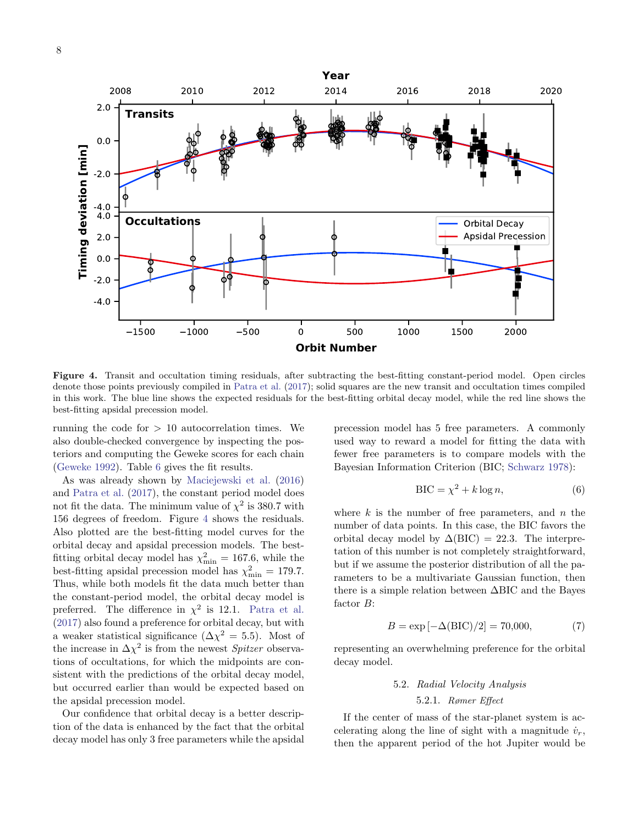

<span id="page-7-0"></span>Figure 4. Transit and occultation timing residuals, after subtracting the best-fitting constant-period model. Open circles denote those points previously compiled in [Patra et al.](#page-14-15) [\(2017\)](#page-14-15); solid squares are the new transit and occultation times compiled in this work. The blue line shows the expected residuals for the best-fitting orbital decay model, while the red line shows the best-fitting apsidal precession model.

running the code for  $> 10$  autocorrelation times. We also double-checked convergence by inspecting the posteriors and computing the Geweke scores for each chain [\(Geweke](#page-13-24) [1992\)](#page-13-24). Table [6](#page-8-0) gives the fit results.

As was already shown by [Maciejewski et al.](#page-14-14) [\(2016\)](#page-14-14) and [Patra et al.](#page-14-15) [\(2017\)](#page-14-15), the constant period model does not fit the data. The minimum value of  $\chi^2$  is 380.7 with 156 degrees of freedom. Figure [4](#page-7-0) shows the residuals. Also plotted are the best-fitting model curves for the orbital decay and apsidal precession models. The bestfitting orbital decay model has  $\chi^2_{\text{min}} = 167.6$ , while the best-fitting apsidal precession model has  $\chi^2_{\text{min}} = 179.7$ . Thus, while both models fit the data much better than the constant-period model, the orbital decay model is preferred. The difference in  $\chi^2$  is 12.1. [Patra et al.](#page-14-15) [\(2017\)](#page-14-15) also found a preference for orbital decay, but with a weaker statistical significance  $(\Delta \chi^2 = 5.5)$ . Most of the increase in  $\Delta \chi^2$  is from the newest *Spitzer* observations of occultations, for which the midpoints are consistent with the predictions of the orbital decay model, but occurred earlier than would be expected based on the apsidal precession model.

Our confidence that orbital decay is a better description of the data is enhanced by the fact that the orbital decay model has only 3 free parameters while the apsidal

precession model has 5 free parameters. A commonly used way to reward a model for fitting the data with fewer free parameters is to compare models with the Bayesian Information Criterion (BIC; [Schwarz](#page-15-12) [1978\)](#page-15-12):

$$
BIC = \chi^2 + k \log n,\tag{6}
$$

where  $k$  is the number of free parameters, and  $n$  the number of data points. In this case, the BIC favors the orbital decay model by  $\Delta( BIC) = 22.3$ . The interpretation of this number is not completely straightforward, but if we assume the posterior distribution of all the parameters to be a multivariate Gaussian function, then there is a simple relation between ∆BIC and the Bayes factor B:

$$
B = \exp[-\Delta(\text{BIC})/2] = 70,000,\tag{7}
$$

representing an overwhelming preference for the orbital decay model.

# 5.2. Radial Velocity Analysis 5.2.1. Rømer Effect

If the center of mass of the star-planet system is accelerating along the line of sight with a magnitude  $\dot{v}_r$ , then the apparent period of the hot Jupiter would be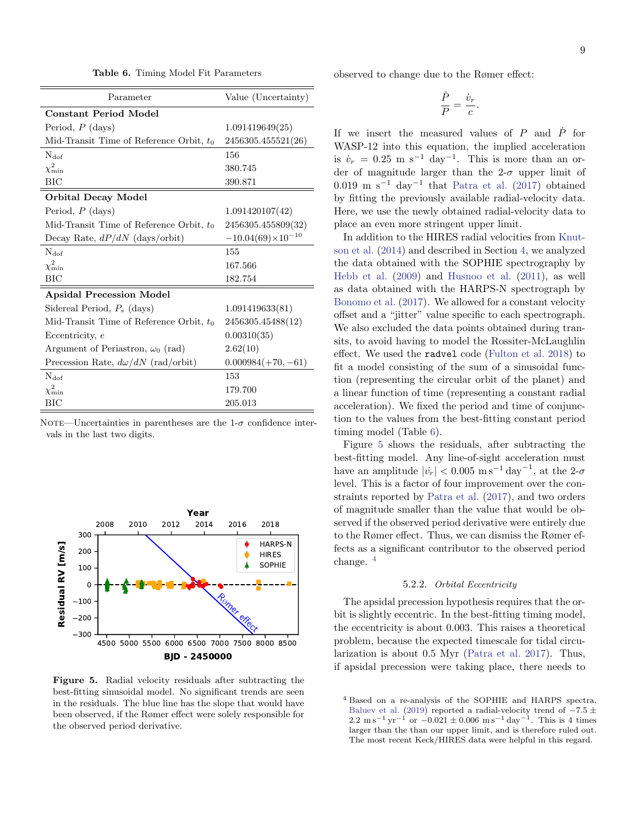<span id="page-8-0"></span>Table 6. Timing Model Fit Parameters

| Parameter                                  | Value (Uncertainty)        |
|--------------------------------------------|----------------------------|
| <b>Constant Period Model</b>               |                            |
| Period, $P$ (days)                         | 1.091419649(25)            |
| Mid-Transit Time of Reference Orbit, $t_0$ | 2456305.455521(26)         |
| $N_{\rm dof}$                              | 156                        |
| $\chi^2_{\rm min}$                         | 380.745                    |
| BIC                                        | 390.871                    |
| Orbital Decay Model                        |                            |
| Period, $P$ (days)                         | 1.091420107(42)            |
| Mid-Transit Time of Reference Orbit, $t_0$ | 2456305.455809(32)         |
| Decay Rate, $dP/dN$ (days/orbit)           | $-10.04(69)\times10^{-10}$ |
| $N_{\text{dof}}$                           | 155                        |
| $\chi^2_{\rm min}$                         | 167.566                    |
| BIC                                        | 182.754                    |
| <b>Apsidal Precession Model</b>            |                            |
| Sidereal Period, $P_s$ (days)              | 1.091419633(81)            |
| Mid-Transit Time of Reference Orbit, $t_0$ | 2456305.45488(12)          |
| Eccentricity, e                            | 0.00310(35)                |
| Argument of Periastron, $\omega_0$ (rad)   | 2.62(10)                   |
| Precession Rate, $d\omega/dN$ (rad/orbit)  | $0.000984(+70,-61)$        |
| $N_{\text{dof}}$                           | 153                        |
| $\chi^2_{\rm min}$                         | 179.700                    |
| ВIС                                        | 205.013                    |

NOTE—Uncertainties in parentheses are the 1- $\sigma$  confidence intervals in the last two digits.



<span id="page-8-1"></span>Figure 5. Radial velocity residuals after subtracting the best-fitting sinusoidal model. No significant trends are seen in the residuals. The blue line has the slope that would have been observed, if the Rømer effect were solely responsible for the observed period derivative.

observed to change due to the Rømer effect:

$$
\frac{\dot{P}}{P} = \frac{\dot{v}_r}{c}.
$$

If we insert the measured values of  $P$  and  $\dot{P}$  for WASP-12 into this equation, the implied acceleration is  $\dot{v}_r = 0.25 \text{ m s}^{-1} \text{ day}^{-1}$ . This is more than an order of magnitude larger than the  $2-\sigma$  upper limit of 0.019 m s<sup>-1</sup> day<sup>-1</sup> that [Patra et al.](#page-14-15) [\(2017\)](#page-14-15) obtained by fitting the previously available radial-velocity data. Here, we use the newly obtained radial-velocity data to place an even more stringent upper limit.

In addition to the HIRES radial velocities from [Knut](#page-14-20)[son et al.](#page-14-20) [\(2014\)](#page-14-20) and described in Section [4,](#page-5-0) we analyzed the data obtained with the SOPHIE spectrography by [Hebb et al.](#page-13-2) [\(2009\)](#page-13-2) and [Husnoo et al.](#page-14-24) [\(2011\)](#page-14-24), as well as data obtained with the HARPS-N spectrograph by [Bonomo et al.](#page-13-25) [\(2017\)](#page-13-25). We allowed for a constant velocity offset and a "jitter" value specific to each spectrograph. We also excluded the data points obtained during transits, to avoid having to model the Rossiter-McLaughlin effect. We used the radvel code [\(Fulton et al.](#page-13-26) [2018\)](#page-13-26) to fit a model consisting of the sum of a sinusoidal function (representing the circular orbit of the planet) and a linear function of time (representing a constant radial acceleration). We fixed the period and time of conjunction to the values from the best-fitting constant period timing model (Table [6\)](#page-8-0).

Figure [5](#page-8-1) shows the residuals, after subtracting the best-fitting model. Any line-of-sight acceleration must have an amplitude  $|\dot{v_r}| < 0.005 \text{ m s}^{-1} \text{ day}^{-1}$ , at the 2- $\sigma$ level. This is a factor of four improvement over the constraints reported by [Patra et al.](#page-14-15) [\(2017\)](#page-14-15), and two orders of magnitude smaller than the value that would be observed if the observed period derivative were entirely due to the Rømer effect. Thus, we can dismiss the Rømer effects as a significant contributor to the observed period change. [4](#page-8-2)

#### 5.2.2. Orbital Eccentricity

<span id="page-8-3"></span>The apsidal precession hypothesis requires that the orbit is slightly eccentric. In the best-fitting timing model, the eccentricity is about 0.003. This raises a theoretical problem, because the expected timescale for tidal circularization is about 0.5 Myr [\(Patra et al.](#page-14-15) [2017\)](#page-14-15). Thus, if apsidal precession were taking place, there needs to

<span id="page-8-2"></span><sup>4</sup> Based on a re-analysis of the SOPHIE and HARPS spectra, [Baluev et al.](#page-13-7) [\(2019\)](#page-13-7) reported a radial-velocity trend of  $-7.5 \pm 2.2 \text{ m s}^{-1} \text{ yr}^{-1}$  or  $-0.021 \pm 0.006 \text{ m s}^{-1} \text{ day}^{-1}$ . This is 4 times larger than the than our upper limit, and is therefore ruled out. The most recent Keck/HIRES data were helpful in this regard.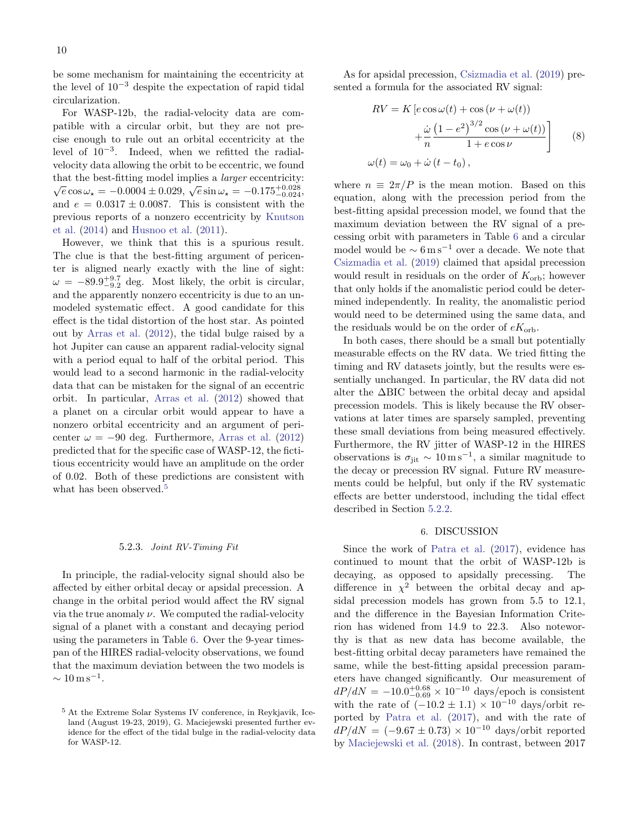be some mechanism for maintaining the eccentricity at the level of  $10^{-3}$  despite the expectation of rapid tidal circularization.

For WASP-12b, the radial-velocity data are compatible with a circular orbit, but they are not precise enough to rule out an orbital eccentricity at the level of 10−<sup>3</sup> . Indeed, when we refitted the radialvelocity data allowing the orbit to be eccentric, we found that the best-fitting model implies a larger eccentricity:  $\sqrt{e} \cos \omega_{\star} = -0.0004 \pm 0.029, \sqrt{e} \sin \omega_{\star} = -0.175^{+0.028}_{-0.024}$ and  $e = 0.0317 \pm 0.0087$ . This is consistent with the previous reports of a nonzero eccentricity by [Knutson](#page-14-20) [et al.](#page-14-20) [\(2014\)](#page-14-20) and [Husnoo et al.](#page-14-24) [\(2011\)](#page-14-24).

However, we think that this is a spurious result. The clue is that the best-fitting argument of pericenter is aligned nearly exactly with the line of sight:  $\omega = -89.9^{+9.7}_{-9.2}$  deg. Most likely, the orbit is circular, and the apparently nonzero eccentricity is due to an unmodeled systematic effect. A good candidate for this effect is the tidal distortion of the host star. As pointed out by [Arras et al.](#page-13-27) [\(2012\)](#page-13-27), the tidal bulge raised by a hot Jupiter can cause an apparent radial-velocity signal with a period equal to half of the orbital period. This would lead to a second harmonic in the radial-velocity data that can be mistaken for the signal of an eccentric orbit. In particular, [Arras et al.](#page-13-27) [\(2012\)](#page-13-27) showed that a planet on a circular orbit would appear to have a nonzero orbital eccentricity and an argument of pericenter  $\omega = -90$  deg. Furthermore, [Arras et al.](#page-13-27) [\(2012\)](#page-13-27) predicted that for the specific case of WASP-12, the fictitious eccentricity would have an amplitude on the order of 0.02. Both of these predictions are consistent with what has been observed.<sup>[5](#page-9-1)</sup>

#### 5.2.3. Joint RV-Timing Fit

In principle, the radial-velocity signal should also be affected by either orbital decay or apsidal precession. A change in the orbital period would affect the RV signal via the true anomaly  $\nu$ . We computed the radial-velocity signal of a planet with a constant and decaying period using the parameters in Table [6.](#page-8-0) Over the 9-year timespan of the HIRES radial-velocity observations, we found that the maximum deviation between the two models is  $\sim 10 \,\mathrm{m\,s^{-1}}.$ 

As for apsidal precession, [Csizmadia et al.](#page-13-28) [\(2019\)](#page-13-28) presented a formula for the associated RV signal:

$$
RV = K \left[ e \cos \omega(t) + \cos (\nu + \omega(t)) + \frac{\dot{\omega} (1 - e^2)^{3/2} \cos (\nu + \omega(t))}{1 + e \cos \nu} \right]
$$
(8)  

$$
\omega(t) = \omega_0 + \dot{\omega} (t - t_0),
$$

where  $n \equiv 2\pi/P$  is the mean motion. Based on this equation, along with the precession period from the best-fitting apsidal precession model, we found that the maximum deviation between the RV signal of a precessing orbit with parameters in Table [6](#page-8-0) and a circular model would be  $\sim 6 \,\mathrm{m\,s^{-1}}$  over a decade. We note that [Csizmadia et al.](#page-13-28) [\(2019\)](#page-13-28) claimed that apsidal precession would result in residuals on the order of  $K_{\text{orb}}$ ; however that only holds if the anomalistic period could be determined independently. In reality, the anomalistic period would need to be determined using the same data, and the residuals would be on the order of  $eK_{\text{orb}}$ .

In both cases, there should be a small but potentially measurable effects on the RV data. We tried fitting the timing and RV datasets jointly, but the results were essentially unchanged. In particular, the RV data did not alter the ∆BIC between the orbital decay and apsidal precession models. This is likely because the RV observations at later times are sparsely sampled, preventing these small deviations from being measured effectively. Furthermore, the RV jitter of WASP-12 in the HIRES observations is  $\sigma_{\text{jit}} \sim 10 \,\mathrm{m\,s^{-1}}$ , a similar magnitude to the decay or precession RV signal. Future RV measurements could be helpful, but only if the RV systematic effects are better understood, including the tidal effect described in Section [5.2.2.](#page-8-3)

## 6. DISCUSSION

<span id="page-9-0"></span>Since the work of [Patra et al.](#page-14-15) [\(2017\)](#page-14-15), evidence has continued to mount that the orbit of WASP-12b is decaying, as opposed to apsidally precessing. The difference in  $\chi^2$  between the orbital decay and apsidal precession models has grown from 5.5 to 12.1, and the difference in the Bayesian Information Criterion has widened from 14.9 to 22.3. Also noteworthy is that as new data has become available, the best-fitting orbital decay parameters have remained the same, while the best-fitting apsidal precession parameters have changed significantly. Our measurement of  $dP/dN = -10.0^{+0.68}_{-0.69} \times 10^{-10}$  days/epoch is consistent with the rate of  $(-10.2 \pm 1.1) \times 10^{-10}$  days/orbit reported by [Patra et al.](#page-14-15) [\(2017\)](#page-14-15), and with the rate of  $dP/dN = (-9.67 \pm 0.73) \times 10^{-10}$  days/orbit reported by [Maciejewski et al.](#page-14-16) [\(2018\)](#page-14-16). In contrast, between 2017

<span id="page-9-1"></span><sup>5</sup> At the Extreme Solar Systems IV conference, in Reykjavik, Iceland (August 19-23, 2019), G. Maciejewski presented further evidence for the effect of the tidal bulge in the radial-velocity data for WASP-12.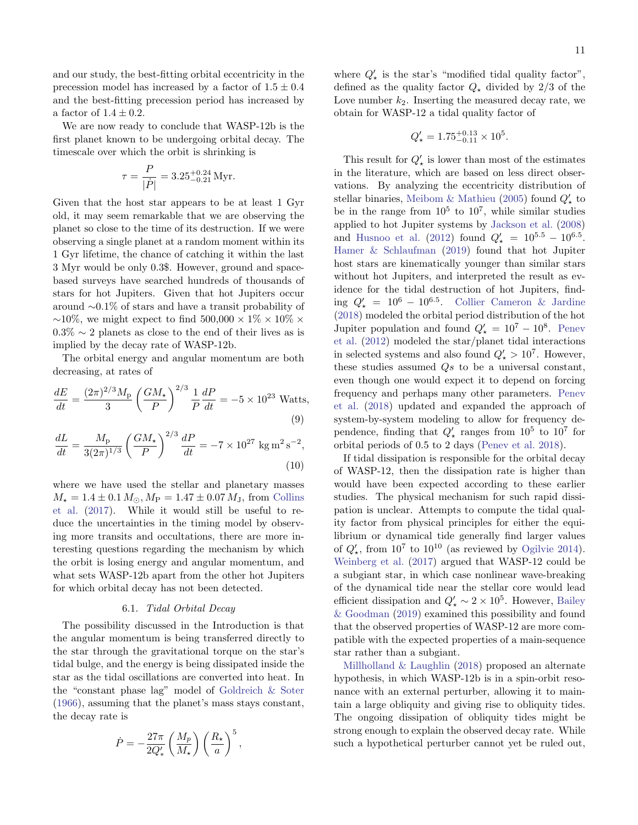and our study, the best-fitting orbital eccentricity in the precession model has increased by a factor of  $1.5 \pm 0.4$ and the best-fitting precession period has increased by a factor of  $1.4 \pm 0.2$ .

We are now ready to conclude that WASP-12b is the first planet known to be undergoing orbital decay. The timescale over which the orbit is shrinking is

$$
\tau = \frac{P}{|\dot{P}|} = 3.25^{+0.24}_{-0.21} \,\text{Myr}.
$$

Given that the host star appears to be at least 1 Gyr old, it may seem remarkable that we are observing the planet so close to the time of its destruction. If we were observing a single planet at a random moment within its 1 Gyr lifetime, the chance of catching it within the last 3 Myr would be only 0.3\$. However, ground and spacebased surveys have searched hundreds of thousands of stars for hot Jupiters. Given that hot Jupiters occur around ∼0.1% of stars and have a transit probability of  $∼10\%$ , we might expect to find 500,000 × 1\% × 10\% ×  $0.3\% \sim 2$  planets as close to the end of their lives as is implied by the decay rate of WASP-12b.

The orbital energy and angular momentum are both decreasing, at rates of

$$
\frac{dE}{dt} = \frac{(2\pi)^{2/3}M_{\rm p}}{3} \left(\frac{GM_{\star}}{P}\right)^{2/3} \frac{1}{P}\frac{dP}{dt} = -5 \times 10^{23} \text{ Watts},\tag{9}
$$

$$
\frac{dL}{dt} = \frac{M_{\rm p}}{3(2\pi)^{1/3}} \left(\frac{GM_{\star}}{P}\right)^{2/3} \frac{dP}{dt} = -7 \times 10^{27} \text{ kg m}^2 \text{s}^{-2},\tag{10}
$$

where we have used the stellar and planetary masses  $M_{\star} = 1.4 \pm 0.1 M_{\odot}, M_{\rm P} = 1.47 \pm 0.07 M_{\rm J}$ , from [Collins](#page-13-4) [et al.](#page-13-4) [\(2017\)](#page-13-4). While it would still be useful to reduce the uncertainties in the timing model by observing more transits and occultations, there are more interesting questions regarding the mechanism by which the orbit is losing energy and angular momentum, and what sets WASP-12b apart from the other hot Jupiters for which orbital decay has not been detected.

## 6.1. Tidal Orbital Decay

The possibility discussed in the Introduction is that the angular momentum is being transferred directly to the star through the gravitational torque on the star's tidal bulge, and the energy is being dissipated inside the star as the tidal oscillations are converted into heat. In the "constant phase lag" model of [Goldreich & Soter](#page-13-29) [\(1966\)](#page-13-29), assuming that the planet's mass stays constant, the decay rate is

$$
\dot{P} = -\frac{27\pi}{2Q_*'} \left(\frac{M_p}{M_\star}\right) \left(\frac{R_\star}{a}\right)^5,
$$

where  $Q'_{\star}$  is the star's "modified tidal quality factor", defined as the quality factor  $Q_{\star}$  divided by 2/3 of the Love number  $k_2$ . Inserting the measured decay rate, we obtain for WASP-12 a tidal quality factor of

$$
Q'_{\star} = 1.75^{+0.13}_{-0.11} \times 10^5.
$$

This result for  $Q'_{\star}$  is lower than most of the estimates in the literature, which are based on less direct observations. By analyzing the eccentricity distribution of stellar binaries, [Meibom & Mathieu](#page-14-25) [\(2005\)](#page-14-25) found  $Q'_{\star}$  to be in the range from  $10^5$  to  $10^7$ , while similar studies applied to hot Jupiter systems by [Jackson et al.](#page-14-26) [\(2008\)](#page-14-26) and [Husnoo et al.](#page-14-27) [\(2012\)](#page-14-27) found  $Q'_{\star} = 10^{5.5} - 10^{6.5}$ . [Hamer & Schlaufman](#page-13-30) [\(2019\)](#page-13-30) found that hot Jupiter host stars are kinematically younger than similar stars without hot Jupiters, and interpreted the result as evidence for the tidal destruction of hot Jupiters, finding  $Q'_{\star} = 10^6 - 10^{6.5}$ . [Collier Cameron & Jardine](#page-13-31) [\(2018\)](#page-13-31) modeled the orbital period distribution of the hot Jupiter population and found  $Q'_{\star} = 10^7 - 10^8$ . [Penev](#page-14-28) [et al.](#page-14-28) [\(2012\)](#page-14-28) modeled the star/planet tidal interactions in selected systems and also found  $Q'_{\star} > 10^7$ . However, these studies assumed  $Qs$  to be a universal constant, even though one would expect it to depend on forcing frequency and perhaps many other parameters. [Penev](#page-14-29) [et al.](#page-14-29) [\(2018\)](#page-14-29) updated and expanded the approach of system-by-system modeling to allow for frequency dependence, finding that  $Q'_{\star}$  ranges from  $10^5$  to  $10^7$  for orbital periods of 0.5 to 2 days [\(Penev et al.](#page-14-29) [2018\)](#page-14-29).

If tidal dissipation is responsible for the orbital decay of WASP-12, then the dissipation rate is higher than would have been expected according to these earlier studies. The physical mechanism for such rapid dissipation is unclear. Attempts to compute the tidal quality factor from physical principles for either the equilibrium or dynamical tide generally find larger values of  $Q'_{\star}$ , from  $10^7$  to  $10^{10}$  (as reviewed by [Ogilvie](#page-14-30) [2014\)](#page-14-30). [Weinberg et al.](#page-15-13) [\(2017\)](#page-15-13) argued that WASP-12 could be a subgiant star, in which case nonlinear wave-breaking of the dynamical tide near the stellar core would lead efficient dissipation and  $Q'_{\star} \sim 2 \times 10^5$ . However, [Bailey](#page-13-8) [& Goodman](#page-13-8) [\(2019\)](#page-13-8) examined this possibility and found that the observed properties of WASP-12 are more compatible with the expected properties of a main-sequence star rather than a subgiant.

[Millholland & Laughlin](#page-14-31) [\(2018\)](#page-14-31) proposed an alternate hypothesis, in which WASP-12b is in a spin-orbit resonance with an external perturber, allowing it to maintain a large obliquity and giving rise to obliquity tides. The ongoing dissipation of obliquity tides might be strong enough to explain the observed decay rate. While such a hypothetical perturber cannot yet be ruled out,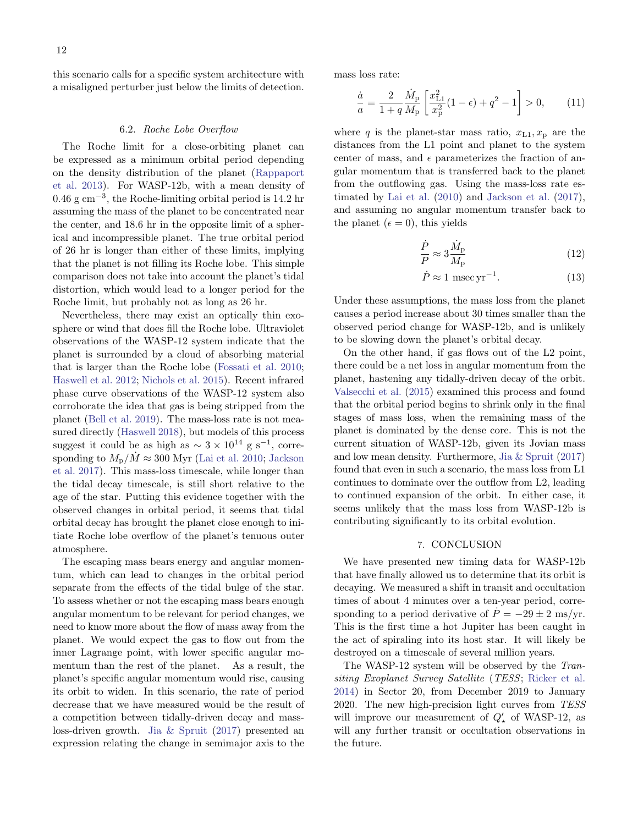this scenario calls for a specific system architecture with a misaligned perturber just below the limits of detection.

### 6.2. Roche Lobe Overflow

The Roche limit for a close-orbiting planet can be expressed as a minimum orbital period depending on the density distribution of the planet [\(Rappaport](#page-14-32) [et al.](#page-14-32) [2013\)](#page-14-32). For WASP-12b, with a mean density of 0.46 g cm−<sup>3</sup> , the Roche-limiting orbital period is 14.2 hr assuming the mass of the planet to be concentrated near the center, and 18.6 hr in the opposite limit of a spherical and incompressible planet. The true orbital period of 26 hr is longer than either of these limits, implying that the planet is not filling its Roche lobe. This simple comparison does not take into account the planet's tidal distortion, which would lead to a longer period for the Roche limit, but probably not as long as 26 hr.

Nevertheless, there may exist an optically thin exosphere or wind that does fill the Roche lobe. Ultraviolet observations of the WASP-12 system indicate that the planet is surrounded by a cloud of absorbing material that is larger than the Roche lobe [\(Fossati et al.](#page-13-5) [2010;](#page-13-5) [Haswell et al.](#page-13-6) [2012;](#page-13-6) [Nichols et al.](#page-14-11) [2015\)](#page-14-11). Recent infrared phase curve observations of the WASP-12 system also corroborate the idea that gas is being stripped from the planet [\(Bell et al.](#page-13-32) [2019\)](#page-13-32). The mass-loss rate is not measured directly [\(Haswell](#page-13-3) [2018\)](#page-13-3), but models of this process suggest it could be as high as  $\sim 3 \times 10^{14}$  g s<sup>-1</sup>, corresponding to  $M_{\rm p}/\dot{M} \approx 300$  Myr [\(Lai et al.](#page-14-33) [2010;](#page-14-33) [Jackson](#page-14-34) [et al.](#page-14-34) [2017\)](#page-14-34). This mass-loss timescale, while longer than the tidal decay timescale, is still short relative to the age of the star. Putting this evidence together with the observed changes in orbital period, it seems that tidal orbital decay has brought the planet close enough to initiate Roche lobe overflow of the planet's tenuous outer atmosphere.

The escaping mass bears energy and angular momentum, which can lead to changes in the orbital period separate from the effects of the tidal bulge of the star. To assess whether or not the escaping mass bears enough angular momentum to be relevant for period changes, we need to know more about the flow of mass away from the planet. We would expect the gas to flow out from the inner Lagrange point, with lower specific angular momentum than the rest of the planet. As a result, the planet's specific angular momentum would rise, causing its orbit to widen. In this scenario, the rate of period decrease that we have measured would be the result of a competition between tidally-driven decay and massloss-driven growth. [Jia & Spruit](#page-14-35) [\(2017\)](#page-14-35) presented an expression relating the change in semimajor axis to the

mass loss rate:

$$
\frac{\dot{a}}{a} = \frac{2}{1+q} \frac{\dot{M}_{\rm p}}{M_{\rm p}} \left[ \frac{x_{\rm L1}^2}{x_{\rm p}^2} (1-\epsilon) + q^2 - 1 \right] > 0, \qquad (11)
$$

where q is the planet-star mass ratio,  $x_{L1}, x_{p}$  are the distances from the L1 point and planet to the system center of mass, and  $\epsilon$  parameterizes the fraction of angular momentum that is transferred back to the planet from the outflowing gas. Using the mass-loss rate estimated by [Lai et al.](#page-14-33) [\(2010\)](#page-14-33) and [Jackson et al.](#page-14-34) [\(2017\)](#page-14-34), and assuming no angular momentum transfer back to the planet ( $\epsilon = 0$ ), this yields

$$
\frac{\dot{P}}{P} \approx 3 \frac{\dot{M}_{\rm p}}{M_{\rm p}}\tag{12}
$$

$$
\dot{P} \approx 1 \text{ msec yr}^{-1}.\tag{13}
$$

Under these assumptions, the mass loss from the planet causes a period increase about 30 times smaller than the observed period change for WASP-12b, and is unlikely to be slowing down the planet's orbital decay.

On the other hand, if gas flows out of the L2 point, there could be a net loss in angular momentum from the planet, hastening any tidally-driven decay of the orbit. [Valsecchi et al.](#page-15-1) [\(2015\)](#page-15-1) examined this process and found that the orbital period begins to shrink only in the final stages of mass loss, when the remaining mass of the planet is dominated by the dense core. This is not the current situation of WASP-12b, given its Jovian mass and low mean density. Furthermore, [Jia & Spruit](#page-14-35) [\(2017\)](#page-14-35) found that even in such a scenario, the mass loss from L1 continues to dominate over the outflow from L2, leading to continued expansion of the orbit. In either case, it seems unlikely that the mass loss from WASP-12b is contributing significantly to its orbital evolution.

## 7. CONCLUSION

We have presented new timing data for WASP-12b that have finally allowed us to determine that its orbit is decaying. We measured a shift in transit and occultation times of about 4 minutes over a ten-year period, corresponding to a period derivative of  $\dot{P} = -29 \pm 2$  ms/yr. This is the first time a hot Jupiter has been caught in the act of spiraling into its host star. It will likely be destroyed on a timescale of several million years.

The WASP-12 system will be observed by the Transiting Exoplanet Survey Satellite (TESS; [Ricker et al.](#page-15-14) [2014\)](#page-15-14) in Sector 20, from December 2019 to January 2020. The new high-precision light curves from TESS will improve our measurement of  $Q'_{\star}$  of WASP-12, as will any further transit or occultation observations in the future.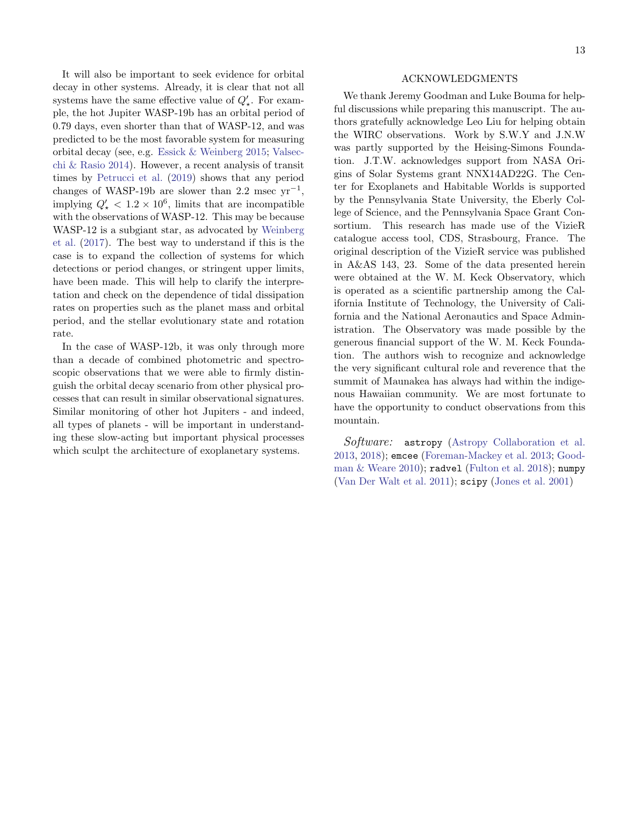It will also be important to seek evidence for orbital decay in other systems. Already, it is clear that not all systems have the same effective value of  $Q'_{\star}$ . For example, the hot Jupiter WASP-19b has an orbital period of 0.79 days, even shorter than that of WASP-12, and was predicted to be the most favorable system for measuring orbital decay (see, e.g. [Essick & Weinberg](#page-13-33) [2015;](#page-13-33) [Valsec](#page-15-15)[chi & Rasio](#page-15-15) [2014\)](#page-15-15). However, a recent analysis of transit times by [Petrucci et al.](#page-14-36) [\(2019\)](#page-14-36) shows that any period changes of WASP-19b are slower than 2.2 msec  $yr^{-1}$ , implying  $Q'_{\star} < 1.2 \times 10^6$ , limits that are incompatible with the observations of WASP-12. This may be because WASP-12 is a subgiant star, as advocated by [Weinberg](#page-15-13) [et al.](#page-15-13) [\(2017\)](#page-15-13). The best way to understand if this is the case is to expand the collection of systems for which detections or period changes, or stringent upper limits, have been made. This will help to clarify the interpretation and check on the dependence of tidal dissipation rates on properties such as the planet mass and orbital period, and the stellar evolutionary state and rotation rate.

In the case of WASP-12b, it was only through more than a decade of combined photometric and spectroscopic observations that we were able to firmly distinguish the orbital decay scenario from other physical processes that can result in similar observational signatures. Similar monitoring of other hot Jupiters - and indeed, all types of planets - will be important in understanding these slow-acting but important physical processes which sculpt the architecture of exoplanetary systems.

## ACKNOWLEDGMENTS

We thank Jeremy Goodman and Luke Bouma for helpful discussions while preparing this manuscript. The authors gratefully acknowledge Leo Liu for helping obtain the WIRC observations. Work by S.W.Y and J.N.W was partly supported by the Heising-Simons Foundation. J.T.W. acknowledges support from NASA Origins of Solar Systems grant NNX14AD22G. The Center for Exoplanets and Habitable Worlds is supported by the Pennsylvania State University, the Eberly College of Science, and the Pennsylvania Space Grant Consortium. This research has made use of the VizieR catalogue access tool, CDS, Strasbourg, France. The original description of the VizieR service was published in A&AS 143, 23. Some of the data presented herein were obtained at the W. M. Keck Observatory, which is operated as a scientific partnership among the California Institute of Technology, the University of California and the National Aeronautics and Space Administration. The Observatory was made possible by the generous financial support of the W. M. Keck Foundation. The authors wish to recognize and acknowledge the very significant cultural role and reverence that the summit of Maunakea has always had within the indigenous Hawaiian community. We are most fortunate to have the opportunity to conduct observations from this mountain.

Software: astropy [\(Astropy Collaboration et al.](#page-13-34) [2013,](#page-13-34) [2018\)](#page-13-35); emcee [\(Foreman-Mackey et al.](#page-13-11) [2013;](#page-13-11) [Good](#page-13-12)[man & Weare](#page-13-12) [2010\)](#page-13-12); radvel [\(Fulton et al.](#page-13-26) [2018\)](#page-13-26); numpy [\(Van Der Walt et al.](#page-15-16) [2011\)](#page-15-16); scipy [\(Jones et al.](#page-14-37) [2001\)](#page-14-37)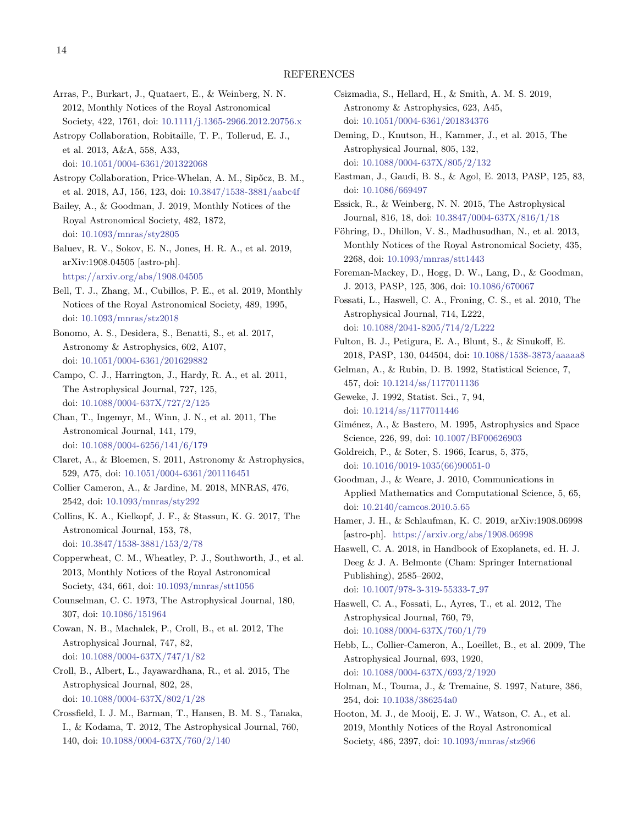#### REFERENCES

- <span id="page-13-27"></span>Arras, P., Burkart, J., Quataert, E., & Weinberg, N. N. 2012, Monthly Notices of the Royal Astronomical Society, 422, 1761, doi: [10.1111/j.1365-2966.2012.20756.x](http://doi.org/10.1111/j.1365-2966.2012.20756.x)
- <span id="page-13-34"></span>Astropy Collaboration, Robitaille, T. P., Tollerud, E. J., et al. 2013, A&A, 558, A33, doi: [10.1051/0004-6361/201322068](http://doi.org/10.1051/0004-6361/201322068)
- <span id="page-13-35"></span>Astropy Collaboration, Price-Whelan, A. M., Sipőcz, B. M., et al. 2018, AJ, 156, 123, doi: [10.3847/1538-3881/aabc4f](http://doi.org/10.3847/1538-3881/aabc4f)
- <span id="page-13-8"></span>Bailey, A., & Goodman, J. 2019, Monthly Notices of the Royal Astronomical Society, 482, 1872, doi: [10.1093/mnras/sty2805](http://doi.org/10.1093/mnras/sty2805)
- <span id="page-13-7"></span>Baluev, R. V., Sokov, E. N., Jones, H. R. A., et al. 2019, arXiv:1908.04505 [astro-ph]. <https://arxiv.org/abs/1908.04505>
- <span id="page-13-32"></span>Bell, T. J., Zhang, M., Cubillos, P. E., et al. 2019, Monthly Notices of the Royal Astronomical Society, 489, 1995, doi: [10.1093/mnras/stz2018](http://doi.org/10.1093/mnras/stz2018)
- <span id="page-13-25"></span>Bonomo, A. S., Desidera, S., Benatti, S., et al. 2017, Astronomy & Astrophysics, 602, A107, doi: [10.1051/0004-6361/201629882](http://doi.org/10.1051/0004-6361/201629882)
- <span id="page-13-18"></span>Campo, C. J., Harrington, J., Hardy, R. A., et al. 2011, The Astrophysical Journal, 727, 125, doi: [10.1088/0004-637X/727/2/125](http://doi.org/10.1088/0004-637X/727/2/125)
- <span id="page-13-19"></span>Chan, T., Ingemyr, M., Winn, J. N., et al. 2011, The Astronomical Journal, 141, 179, doi: [10.1088/0004-6256/141/6/179](http://doi.org/10.1088/0004-6256/141/6/179)
- <span id="page-13-9"></span>Claret, A., & Bloemen, S. 2011, Astronomy & Astrophysics, 529, A75, doi: [10.1051/0004-6361/201116451](http://doi.org/10.1051/0004-6361/201116451)
- <span id="page-13-31"></span>Collier Cameron, A., & Jardine, M. 2018, MNRAS, 476, 2542, doi: [10.1093/mnras/sty292](http://doi.org/10.1093/mnras/sty292)
- <span id="page-13-4"></span>Collins, K. A., Kielkopf, J. F., & Stassun, K. G. 2017, The Astronomical Journal, 153, 78, doi: [10.3847/1538-3881/153/2/78](http://doi.org/10.3847/1538-3881/153/2/78)
- <span id="page-13-16"></span>Copperwheat, C. M., Wheatley, P. J., Southworth, J., et al. 2013, Monthly Notices of the Royal Astronomical Society, 434, 661, doi: [10.1093/mnras/stt1056](http://doi.org/10.1093/mnras/stt1056)
- <span id="page-13-1"></span>Counselman, C. C. 1973, The Astrophysical Journal, 180, 307, doi: [10.1086/151964](http://doi.org/10.1086/151964)
- <span id="page-13-20"></span>Cowan, N. B., Machalek, P., Croll, B., et al. 2012, The Astrophysical Journal, 747, 82, doi: [10.1088/0004-637X/747/1/82](http://doi.org/10.1088/0004-637X/747/1/82)
- <span id="page-13-17"></span>Croll, B., Albert, L., Jayawardhana, R., et al. 2015, The Astrophysical Journal, 802, 28, doi: [10.1088/0004-637X/802/1/28](http://doi.org/10.1088/0004-637X/802/1/28)
- <span id="page-13-21"></span>Crossfield, I. J. M., Barman, T., Hansen, B. M. S., Tanaka, I., & Kodama, T. 2012, The Astrophysical Journal, 760, 140, doi: [10.1088/0004-637X/760/2/140](http://doi.org/10.1088/0004-637X/760/2/140)
- <span id="page-13-28"></span>Csizmadia, S., Hellard, H., & Smith, A. M. S. 2019, Astronomy & Astrophysics, 623, A45, doi: [10.1051/0004-6361/201834376](http://doi.org/10.1051/0004-6361/201834376)
- <span id="page-13-14"></span>Deming, D., Knutson, H., Kammer, J., et al. 2015, The Astrophysical Journal, 805, 132, doi: [10.1088/0004-637X/805/2/132](http://doi.org/10.1088/0004-637X/805/2/132)
- <span id="page-13-10"></span>Eastman, J., Gaudi, B. S., & Agol, E. 2013, PASP, 125, 83, doi: [10.1086/669497](http://doi.org/10.1086/669497)
- <span id="page-13-33"></span>Essick, R., & Weinberg, N. N. 2015, The Astrophysical Journal, 816, 18, doi: [10.3847/0004-637X/816/1/18](http://doi.org/10.3847/0004-637X/816/1/18)
- <span id="page-13-22"></span>Föhring, D., Dhillon, V. S., Madhusudhan, N., et al. 2013, Monthly Notices of the Royal Astronomical Society, 435, 2268, doi: [10.1093/mnras/stt1443](http://doi.org/10.1093/mnras/stt1443)
- <span id="page-13-11"></span>Foreman-Mackey, D., Hogg, D. W., Lang, D., & Goodman, J. 2013, PASP, 125, 306, doi: [10.1086/670067](http://doi.org/10.1086/670067)
- <span id="page-13-5"></span>Fossati, L., Haswell, C. A., Froning, C. S., et al. 2010, The Astrophysical Journal, 714, L222, doi: [10.1088/2041-8205/714/2/L222](http://doi.org/10.1088/2041-8205/714/2/L222)
- <span id="page-13-26"></span>Fulton, B. J., Petigura, E. A., Blunt, S., & Sinukoff, E. 2018, PASP, 130, 044504, doi: [10.1088/1538-3873/aaaaa8](http://doi.org/10.1088/1538-3873/aaaaa8)
- <span id="page-13-13"></span>Gelman, A., & Rubin, D. B. 1992, Statistical Science, 7, 457, doi: [10.1214/ss/1177011136](http://doi.org/10.1214/ss/1177011136)
- <span id="page-13-24"></span>Geweke, J. 1992, Statist. Sci., 7, 94, doi: [10.1214/ss/1177011446](http://doi.org/10.1214/ss/1177011446)
- <span id="page-13-23"></span>Giménez, A., & Bastero, M. 1995, Astrophysics and Space Science, 226, 99, doi: [10.1007/BF00626903](http://doi.org/10.1007/BF00626903)
- <span id="page-13-29"></span>Goldreich, P., & Soter, S. 1966, Icarus, 5, 375, doi: [10.1016/0019-1035\(66\)90051-0](http://doi.org/10.1016/0019-1035(66)90051-0)
- <span id="page-13-12"></span>Goodman, J., & Weare, J. 2010, Communications in Applied Mathematics and Computational Science, 5, 65, doi: [10.2140/camcos.2010.5.65](http://doi.org/10.2140/camcos.2010.5.65)
- <span id="page-13-30"></span>Hamer, J. H., & Schlaufman, K. C. 2019, arXiv:1908.06998 [astro-ph]. <https://arxiv.org/abs/1908.06998>
- <span id="page-13-3"></span>Haswell, C. A. 2018, in Handbook of Exoplanets, ed. H. J. Deeg & J. A. Belmonte (Cham: Springer International Publishing), 2585–2602, doi: [10.1007/978-3-319-55333-7](http://doi.org/10.1007/978-3-319-55333-7_97) 97
- <span id="page-13-6"></span>Haswell, C. A., Fossati, L., Ayres, T., et al. 2012, The Astrophysical Journal, 760, 79,
	- doi: [10.1088/0004-637X/760/1/79](http://doi.org/10.1088/0004-637X/760/1/79)
- <span id="page-13-2"></span>Hebb, L., Collier-Cameron, A., Loeillet, B., et al. 2009, The Astrophysical Journal, 693, 1920, doi: [10.1088/0004-637X/693/2/1920](http://doi.org/10.1088/0004-637X/693/2/1920)
- <span id="page-13-0"></span>Holman, M., Touma, J., & Tremaine, S. 1997, Nature, 386, 254, doi: [10.1038/386254a0](http://doi.org/10.1038/386254a0)
- <span id="page-13-15"></span>Hooton, M. J., de Mooij, E. J. W., Watson, C. A., et al. 2019, Monthly Notices of the Royal Astronomical Society, 486, 2397, doi: [10.1093/mnras/stz966](http://doi.org/10.1093/mnras/stz966)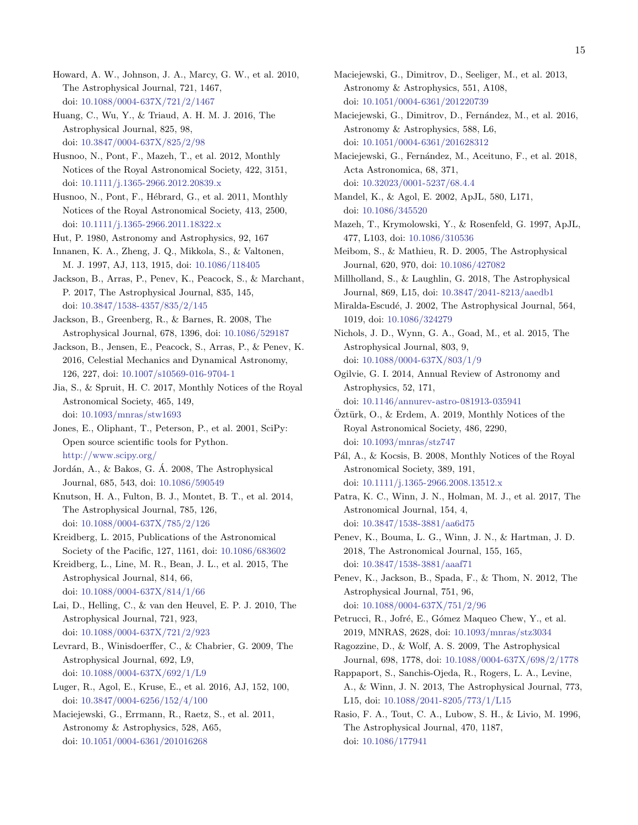15

<span id="page-14-21"></span>Howard, A. W., Johnson, J. A., Marcy, G. W., et al. 2010, The Astrophysical Journal, 721, 1467, doi: [10.1088/0004-637X/721/2/1467](http://doi.org/10.1088/0004-637X/721/2/1467)

<span id="page-14-0"></span>Huang, C., Wu, Y., & Triaud, A. H. M. J. 2016, The Astrophysical Journal, 825, 98, doi: [10.3847/0004-637X/825/2/98](http://doi.org/10.3847/0004-637X/825/2/98)

<span id="page-14-27"></span>Husnoo, N., Pont, F., Mazeh, T., et al. 2012, Monthly Notices of the Royal Astronomical Society, 422, 3151, doi: [10.1111/j.1365-2966.2012.20839.x](http://doi.org/10.1111/j.1365-2966.2012.20839.x)

<span id="page-14-24"></span>Husnoo, N., Pont, F., Hébrard, G., et al. 2011, Monthly Notices of the Royal Astronomical Society, 413, 2500, doi: [10.1111/j.1365-2966.2011.18322.x](http://doi.org/10.1111/j.1365-2966.2011.18322.x)

<span id="page-14-6"></span>Hut, P. 1980, Astronomy and Astrophysics, 92, 167

<span id="page-14-2"></span>Innanen, K. A., Zheng, J. Q., Mikkola, S., & Valtonen, M. J. 1997, AJ, 113, 1915, doi: [10.1086/118405](http://doi.org/10.1086/118405)

<span id="page-14-34"></span>Jackson, B., Arras, P., Penev, K., Peacock, S., & Marchant, P. 2017, The Astrophysical Journal, 835, 145, doi: [10.3847/1538-4357/835/2/145](http://doi.org/10.3847/1538-4357/835/2/145)

<span id="page-14-26"></span>Jackson, B., Greenberg, R., & Barnes, R. 2008, The Astrophysical Journal, 678, 1396, doi: [10.1086/529187](http://doi.org/10.1086/529187)

<span id="page-14-9"></span>Jackson, B., Jensen, E., Peacock, S., Arras, P., & Penev, K. 2016, Celestial Mechanics and Dynamical Astronomy, 126, 227, doi: [10.1007/s10569-016-9704-1](http://doi.org/10.1007/s10569-016-9704-1)

<span id="page-14-35"></span>Jia, S., & Spruit, H. C. 2017, Monthly Notices of the Royal Astronomical Society, 465, 149, doi: [10.1093/mnras/stw1693](http://doi.org/10.1093/mnras/stw1693)

<span id="page-14-37"></span>Jones, E., Oliphant, T., Peterson, P., et al. 2001, SciPy: Open source scientific tools for Python. <http://www.scipy.org/>

<span id="page-14-4"></span>Jordán, A., & Bakos, G. Á. 2008, The Astrophysical Journal, 685, 543, doi: [10.1086/590549](http://doi.org/10.1086/590549)

<span id="page-14-20"></span>Knutson, H. A., Fulton, B. J., Montet, B. T., et al. 2014, The Astrophysical Journal, 785, 126, doi: [10.1088/0004-637X/785/2/126](http://doi.org/10.1088/0004-637X/785/2/126)

<span id="page-14-19"></span>Kreidberg, L. 2015, Publications of the Astronomical Society of the Pacific, 127, 1161, doi: [10.1086/683602](http://doi.org/10.1086/683602)

<span id="page-14-22"></span>Kreidberg, L., Line, M. R., Bean, J. L., et al. 2015, The Astrophysical Journal, 814, 66, doi: [10.1088/0004-637X/814/1/66](http://doi.org/10.1088/0004-637X/814/1/66)

<span id="page-14-33"></span>Lai, D., Helling, C., & van den Heuvel, E. P. J. 2010, The Astrophysical Journal, 721, 923, doi: [10.1088/0004-637X/721/2/923](http://doi.org/10.1088/0004-637X/721/2/923)

<span id="page-14-8"></span>Levrard, B., Winisdoerffer, C., & Chabrier, G. 2009, The Astrophysical Journal, 692, L9, doi: [10.1088/0004-637X/692/1/L9](http://doi.org/10.1088/0004-637X/692/1/L9)

<span id="page-14-18"></span>Luger, R., Agol, E., Kruse, E., et al. 2016, AJ, 152, 100, doi: [10.3847/0004-6256/152/4/100](http://doi.org/10.3847/0004-6256/152/4/100)

<span id="page-14-12"></span>Maciejewski, G., Errmann, R., Raetz, S., et al. 2011, Astronomy & Astrophysics, 528, A65, doi: [10.1051/0004-6361/201016268](http://doi.org/10.1051/0004-6361/201016268)

<span id="page-14-13"></span>Maciejewski, G., Dimitrov, D., Seeliger, M., et al. 2013, Astronomy & Astrophysics, 551, A108, doi: [10.1051/0004-6361/201220739](http://doi.org/10.1051/0004-6361/201220739)

<span id="page-14-14"></span>Maciejewski, G., Dimitrov, D., Fernández, M., et al. 2016, Astronomy & Astrophysics, 588, L6, doi: [10.1051/0004-6361/201628312](http://doi.org/10.1051/0004-6361/201628312)

<span id="page-14-16"></span>Maciejewski, G., Fernández, M., Aceituno, F., et al. 2018, Acta Astronomica, 68, 371, doi: [10.32023/0001-5237/68.4.4](http://doi.org/10.32023/0001-5237/68.4.4)

<span id="page-14-17"></span>Mandel, K., & Agol, E. 2002, ApJL, 580, L171, doi: [10.1086/345520](http://doi.org/10.1086/345520)

<span id="page-14-3"></span>Mazeh, T., Krymolowski, Y., & Rosenfeld, G. 1997, ApJL, 477, L103, doi: [10.1086/310536](http://doi.org/10.1086/310536)

<span id="page-14-25"></span>Meibom, S., & Mathieu, R. D. 2005, The Astrophysical Journal, 620, 970, doi: [10.1086/427082](http://doi.org/10.1086/427082)

<span id="page-14-31"></span>Millholland, S., & Laughlin, G. 2018, The Astrophysical Journal, 869, L15, doi: [10.3847/2041-8213/aaedb1](http://doi.org/10.3847/2041-8213/aaedb1)

<span id="page-14-1"></span>Miralda-Escudé, J. 2002, The Astrophysical Journal, 564, 1019, doi: [10.1086/324279](http://doi.org/10.1086/324279)

<span id="page-14-11"></span>Nichols, J. D., Wynn, G. A., Goad, M., et al. 2015, The Astrophysical Journal, 803, 9, doi: [10.1088/0004-637X/803/1/9](http://doi.org/10.1088/0004-637X/803/1/9)

<span id="page-14-30"></span>Ogilvie, G. I. 2014, Annual Review of Astronomy and Astrophysics, 52, 171,

<span id="page-14-23"></span>doi: [10.1146/annurev-astro-081913-035941](http://doi.org/10.1146/annurev-astro-081913-035941)  $\overline{\text{O}}$ ztürk, O., & Erdem, A. 2019, Monthly Notices of the

Royal Astronomical Society, 486, 2290, doi: [10.1093/mnras/stz747](http://doi.org/10.1093/mnras/stz747)

<span id="page-14-5"></span>Pál, A., & Kocsis, B. 2008, Monthly Notices of the Royal Astronomical Society, 389, 191, doi: [10.1111/j.1365-2966.2008.13512.x](http://doi.org/10.1111/j.1365-2966.2008.13512.x)

<span id="page-14-15"></span>Patra, K. C., Winn, J. N., Holman, M. J., et al. 2017, The Astronomical Journal, 154, 4, doi: [10.3847/1538-3881/aa6d75](http://doi.org/10.3847/1538-3881/aa6d75)

<span id="page-14-29"></span>Penev, K., Bouma, L. G., Winn, J. N., & Hartman, J. D. 2018, The Astronomical Journal, 155, 165, doi: [10.3847/1538-3881/aaaf71](http://doi.org/10.3847/1538-3881/aaaf71)

<span id="page-14-28"></span>Penev, K., Jackson, B., Spada, F., & Thom, N. 2012, The Astrophysical Journal, 751, 96, doi: [10.1088/0004-637X/751/2/96](http://doi.org/10.1088/0004-637X/751/2/96)

<span id="page-14-36"></span>Petrucci, R., Jofré, E., Gómez Maqueo Chew, Y., et al. 2019, MNRAS, 2628, doi: [10.1093/mnras/stz3034](http://doi.org/10.1093/mnras/stz3034)

<span id="page-14-10"></span>Ragozzine, D., & Wolf, A. S. 2009, The Astrophysical Journal, 698, 1778, doi: [10.1088/0004-637X/698/2/1778](http://doi.org/10.1088/0004-637X/698/2/1778)

<span id="page-14-32"></span>Rappaport, S., Sanchis-Ojeda, R., Rogers, L. A., Levine, A., & Winn, J. N. 2013, The Astrophysical Journal, 773, L15, doi: [10.1088/2041-8205/773/1/L15](http://doi.org/10.1088/2041-8205/773/1/L15)

<span id="page-14-7"></span>Rasio, F. A., Tout, C. A., Lubow, S. H., & Livio, M. 1996, The Astrophysical Journal, 470, 1187, doi: [10.1086/177941](http://doi.org/10.1086/177941)